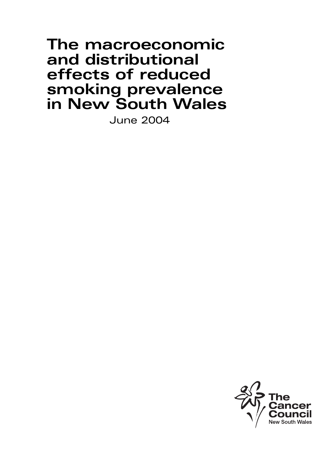# **The macroeconomic and distributional effects of reduced smoking prevalence in New South Wales**

June 2004

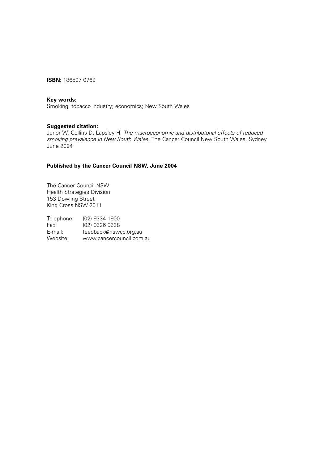**ISBN:** 186507 0769

#### **Key words:**

Smoking; tobacco industry; economics; New South Wales

### **Suggested citation:**

Junor W, Collins D, Lapsley H. The macroeconomic and distributonal effects of reduced smoking prevalence in New South Wales. The Cancer Council New South Wales. Sydney June 2004

## **Published by the Cancer Council NSW, June 2004**

The Cancer Council NSW Health Strategies Division 153 Dowling Street King Cross NSW 2011

Telephone: (02) 9334 1900 Fax: (02) 9326 9328 E-mail: feedback@nswcc.org.au Website: www.cancercouncil.com.au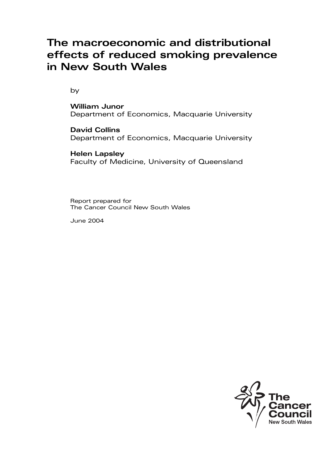# **The macroeconomic and distributional effects of reduced smoking prevalence in New South Wales**

by

**William Junor** Department of Economics, Macquarie University

**David Collins**  Department of Economics, Macquarie University

**Helen Lapsley** Faculty of Medicine, University of Queensland

Report prepared for The Cancer Council New South Wales

June 2004

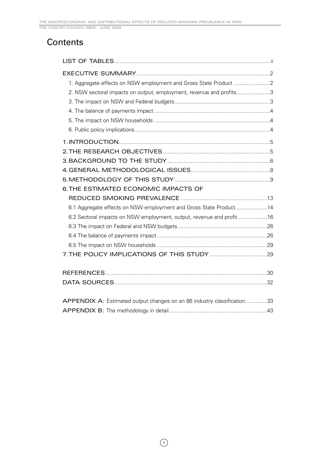# **Contents**

| 2. NSW sectoral impacts on output, employment, revenue and profits3     |  |
|-------------------------------------------------------------------------|--|
|                                                                         |  |
|                                                                         |  |
|                                                                         |  |
|                                                                         |  |
|                                                                         |  |
|                                                                         |  |
|                                                                         |  |
|                                                                         |  |
|                                                                         |  |
| 6. THE ESTIMATED ECONOMIC IMPACTS OF                                    |  |
|                                                                         |  |
| 6.1 Aggregate effects on NSW employment and Gross State Product 14      |  |
| 6.2 Sectoral impacts on NSW employment, output, revenue and profit16    |  |
|                                                                         |  |
|                                                                         |  |
|                                                                         |  |
|                                                                         |  |
|                                                                         |  |
|                                                                         |  |
|                                                                         |  |
|                                                                         |  |
| APPENDIX A: Estimated output changes on an 86 industry classification33 |  |
|                                                                         |  |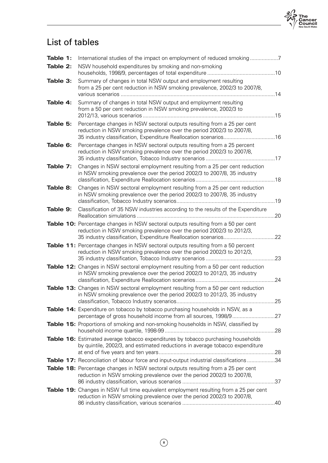

# List of tables

| Table 1: | International studies of the impact on employment of reduced smoking                                                                                                                                                           |  |
|----------|--------------------------------------------------------------------------------------------------------------------------------------------------------------------------------------------------------------------------------|--|
| Table 2: | NSW household expenditures by smoking and non-smoking                                                                                                                                                                          |  |
| Table 3: | Summary of changes in total NSW output and employment resulting<br>from a 25 per cent reduction in NSW smoking prevalence, 2002/3 to 2007/8,                                                                                   |  |
| Table 4: | Summary of changes in total NSW output and employment resulting<br>from a 50 per cent reduction in NSW smoking prevalence, 2002/3 to                                                                                           |  |
| Table 5: | Percentage changes in NSW sectoral outputs resulting from a 25 per cent<br>reduction in NSW smoking prevalence over the period 2002/3 to 2007/8,<br>35 industry classification, Expenditure Reallocation scenarios16           |  |
| Table 6: | Percentage changes in NSW sectoral outputs resulting from a 25 percent<br>reduction in NSW smoking prevalence over the period 2002/3 to 2007/8,                                                                                |  |
| Table 7: | Changes in NSW sectoral employment resulting from a 25 per cent reduction<br>in NSW smoking prevalence over the period 2002/3 to 2007/8, 35 industry                                                                           |  |
| Table 8: | Changes in NSW sectoral employment resulting from a 25 per cent reduction<br>in NSW smoking prevalence over the period 2002/3 to 2007/8, 35 industry                                                                           |  |
| Table 9: | Classification of 35 NSW industries according to the results of the Expenditure                                                                                                                                                |  |
|          | Table 10: Percentage changes in NSW sectoral outputs resulting from a 50 per cent<br>reduction in NSW smoking prevalence over the period 2002/3 to 2012/3,<br>35 industry classification, Expenditure Reallocation scenarios22 |  |
|          | Table 11: Percentage changes in NSW sectoral outputs resulting from a 50 percent<br>reduction in NSW smoking prevalence over the period 2002/3 to 2012/3,                                                                      |  |
|          | Table 12: Changes in NSW sectoral employment resulting from a 50 per cent reduction<br>in NSW smoking prevalence over the period 2002/3 to 2012/3, 35 industry                                                                 |  |
|          | <b>Table 13:</b> Changes in NSW sectoral employment resulting from a 50 per cent reduction<br>in NSW smoking prevalence over the period 2002/3 to 2012/3, 35 industry                                                          |  |
|          | Table 14: Expenditure on tobacco by tobacco purchasing households in NSW, as a                                                                                                                                                 |  |
|          | Table 15: Proportions of smoking and non-smoking households in NSW, classified by                                                                                                                                              |  |
|          | Table 16: Estimated average tobacco expenditures by tobacco purchasing households<br>by quintile, 2002/3, and estimated reductions in average tobacco expenditure                                                              |  |
|          | Table 17: Reconciliation of labour force and input-output industrial classifications34                                                                                                                                         |  |
|          | Table 18: Percentage changes in NSW sectoral outputs resulting from a 25 per cent<br>reduction in NSW smoking prevalence over the period 2002/3 to 2007/8,                                                                     |  |
|          | Table 19: Changes in NSW full time equivalent employment resulting from a 25 per cent<br>reduction in NSW smoking prevalence over the period 2002/3 to 2007/8,                                                                 |  |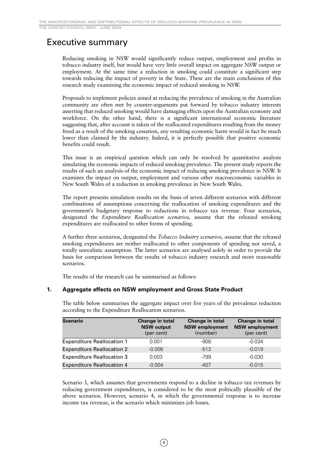THE CANCER COUNCIL NSW · JUNE 2004

# Executive summary

Reducing smoking in NSW would significantly reduce output, employment and profits in tobacco industry itself, but would have very little overall impact on aggregate NSW output or employment. At the same time a reduction in smoking could constitute a significant step towards reducing the impact of poverty in the State. These are the main conclusions of this research study examining the economic impact of reduced smoking in NSW.

Proposals to implement policies aimed at reducing the prevalence of smoking in the Australian community are often met by counter-arguments put forward by tobacco industry interests asserting that reduced smoking would have damaging effects upon the Australian economy and workforce. On the other hand, there is a significant international economic literature suggesting that, after account is taken of the reallocated expenditures resulting from the money freed as a result of the smoking cessation, any resulting economic harm would in fact be much lower than claimed by the industry. Indeed, it is perfectly possible that positive economic benefits could result.

This issue is an empirical question which can only be resolved by quantitative analysis simulating the economic impacts of reduced smoking prevalence. The present study reports the results of such an analysis of the economic impact of reducing smoking prevalence in NSW. It examines the impact on output, employment and various other macroeconomic variables in New South Wales of a reduction in smoking prevalence in New South Wales.

The report presents simulation results on the basis of seven different scenarios with different combinations of assumptions concerning the reallocation of smoking expenditures and the government's budgetary response to reductions in tobacco tax revenue. Four scenarios, designated the *Expenditure Reallocation scenarios,* assume that the released smoking expenditures are reallocated to other forms of spending.

A further three scenarios, designated the *Tobacco Industry scenarios,* assume that the released smoking expenditures are neither reallocated to other components of spending nor saved, a totally unrealistic assumption. The latter scenarios are analysed solely in order to provide the basis for comparison between the results of tobacco industry research and more reasonable scenarios.

The results of the research can be summarised as follows:

# **1. Aggregate effects on NSW employment and Gross State Product**

| Scenario                          | Change in total<br><b>NSW output</b><br>(per cent) | Change in total<br><b>NSW employment</b><br>(number) | Change in total<br><b>NSW employment</b><br>(per cent) |
|-----------------------------------|----------------------------------------------------|------------------------------------------------------|--------------------------------------------------------|
| <b>Expenditure Reallocation 1</b> | 0.001                                              | -908                                                 | $-0.034$                                               |
| <b>Expenditure Reallocation 2</b> | $-0.006$                                           | $-513$                                               | $-0.019$                                               |
| <b>Expenditure Reallocation 3</b> | 0.003                                              | -799                                                 | $-0.030$                                               |
| <b>Expenditure Reallocation 4</b> | $-0.004$                                           | $-407$                                               | $-0.015$                                               |

The table below summarises the aggregate impact over five years of the prevalence reduction according to the Expenditure Reallocation scenarios.

Scenario 3, which assumes that governments respond to a decline in tobacco tax revenues by reducing government expenditures, is considered to be the most politically plausible of the above scenarios. However, scenario 4, in which the governmental response is to increase income tax revenue, is the scenario which minimizes job losses.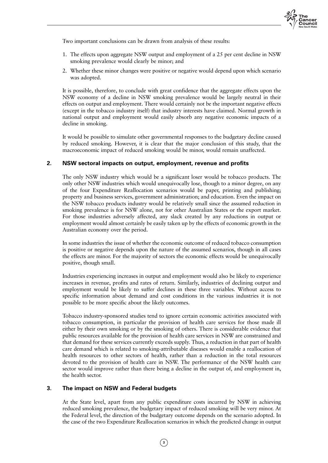

Two important conclusions can be drawn from analysis of these results:

- 1. The effects upon aggregate NSW output and employment of a 25 per cent decline in NSW smoking prevalence would clearly be minor; and
- 2. Whether these minor changes were positive or negative would depend upon which scenario was adopted.

It is possible, therefore, to conclude with great confidence that the aggregate effects upon the NSW economy of a decline in NSW smoking prevalence would be largely neutral in their effects on output and employment. There would certainly not be the important negative effects (except in the tobacco industry itself) that industry interests have claimed. Normal growth in national output and employment would easily absorb any negative economic impacts of a decline in smoking.

It would be possible to simulate other governmental responses to the budgetary decline caused by reduced smoking. However, it is clear that the major conclusion of this study, that the macroeconomic impact of reduced smoking would be minor, would remain unaffected.

### **2. NSW sectoral impacts on output, employment, revenue and profits**

The only NSW industry which would be a significant loser would be tobacco products. The only other NSW industries which would unequivocally lose, though to a minor degree, on any of the four Expenditure Reallocation scenarios would be paper, printing and publishing; property and business services, government administration; and education. Even the impact on the NSW tobacco products industry would be relatively small since the assumed reduction in smoking prevalence is for NSW alone, not for other Australian States or the export market. For those industries adversely affected, any slack created by any reductions in output or employment would almost certainly be easily taken up by the effects of economic growth in the Australian economy over the period.

In some industries the issue of whether the economic outcome of reduced tobacco consumption is positive or negative depends upon the nature of the assumed scenarios, though in all cases the effects are minor. For the majority of sectors the economic effects would be unequivocally positive, though small.

Industries experiencing increases in output and employment would also be likely to experience increases in revenue, profits and rates of return. Similarly, industries of declining output and employment would be likely to suffer declines in these three variables. Without access to specific information about demand and cost conditions in the various industries it is not possible to be more specific about the likely outcomes.

Tobacco industry-sponsored studies tend to ignore certain economic activities associated with tobacco consumption, in particular the provision of health care services for those made ill either by their own smoking or by the smoking of others. There is considerable evidence that public resources available for the provision of health care services in NSW are constrained and that demand for these services currently exceeds supply. Thus, a reduction in that part of health care demand which is related to smoking-attributable diseases would enable a reallocation of health resources to other sectors of health, rather than a reduction in the total resources devoted to the provision of health care in NSW. The performance of the NSW health care sector would improve rather than there being a decline in the output of, and employment in, the health sector.

#### **3. The impact on NSW and Federal budgets**

At the State level, apart from any public expenditure costs incurred by NSW in achieving reduced smoking prevalence, the budgetary impact of reduced smoking will be very minor. At the Federal level, the direction of the budgetary outcome depends on the scenario adopted. In the case of the two Expenditure Reallocation scenarios in which the predicted change in output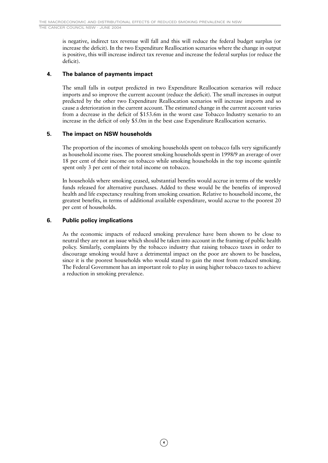is negative, indirect tax revenue will fall and this will reduce the federal budget surplus (or increase the deficit). In the two Expenditure Reallocation scenarios where the change in output is positive, this will increase indirect tax revenue and increase the federal surplus (or reduce the deficit).

# **4. The balance of payments impact**

The small falls in output predicted in two Expenditure Reallocation scenarios will reduce imports and so improve the current account (reduce the deficit). The small increases in output predicted by the other two Expenditure Reallocation scenarios will increase imports and so cause a deterioration in the current account. The estimated change in the current account varies from a decrease in the deficit of \$153.6m in the worst case Tobacco Industry scenario to an increase in the deficit of only \$5.0m in the best case Expenditure Reallocation scenario.

# **5. The impact on NSW households**

The proportion of the incomes of smoking households spent on tobacco falls very significantly as household income rises. The poorest smoking households spent in 1998/9 an average of over 18 per cent of their income on tobacco while smoking households in the top income quintile spent only 3 per cent of their total income on tobacco.

In households where smoking ceased, substantial benefits would accrue in terms of the weekly funds released for alternative purchases. Added to these would be the benefits of improved health and life expectancy resulting from smoking cessation. Relative to household income, the greatest benefits, in terms of additional available expenditure, would accrue to the poorest 20 per cent of households.

# **6. Public policy implications**

As the economic impacts of reduced smoking prevalence have been shown to be close to neutral they are not an issue which should be taken into account in the framing of public health policy. Similarly, complaints by the tobacco industry that raising tobacco taxes in order to discourage smoking would have a detrimental impact on the poor are shown to be baseless, since it is the poorest households who would stand to gain the most from reduced smoking. The Federal Government has an important role to play in using higher tobacco taxes to achieve a reduction in smoking prevalence.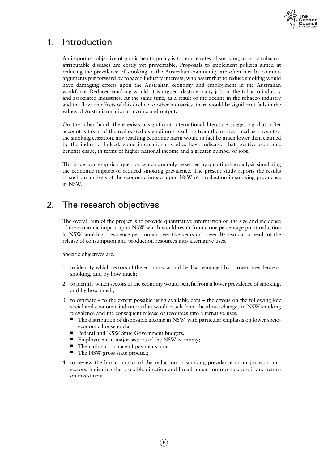

# 1. Introduction

An important objective of public health policy is to reduce rates of smoking, as most tobaccoattributable diseases are costly yet preventable. Proposals to implement policies aimed at reducing the prevalence of smoking in the Australian community are often met by counterarguments put forward by tobacco industry interests, who assert that to reduce smoking would have damaging effects upon the Australian economy and employment in the Australian workforce. Reduced smoking would, it is argued, destroy many jobs in the tobacco industry and associated industries. At the same time, as a result of the decline in the tobacco industry and the flow-on effects of this decline to other industries, there would be significant falls in the values of Australian national income and output.

On the other hand, there exists a significant international literature suggesting that, after account is taken of the reallocated expenditures resulting from the money freed as a result of the smoking cessation, any resulting economic harm would in fact be much lower than claimed by the industry. Indeed, some international studies have indicated that positive economic benefits ensue, in terms of higher national income and a greater number of jobs.

This issue is an empirical question which can only be settled by quantitative analysis simulating the economic impacts of reduced smoking prevalence. The present study reports the results of such an analysis of the economic impact upon NSW of a reduction in smoking prevalence in NSW.

# 2. The research objectives

The overall aim of the project is to provide quantitative information on the size and incidence of the economic impact upon NSW which would result from a one percentage point reduction in NSW smoking prevalence per annum over five years and over 10 years as a result of the release of consumption and production resources into alternative uses.

Specific objectives are:

- 1. to identify which sectors of the economy would be disadvantaged by a lower prevalence of smoking, and by how much;
- 2. to identify which sectors of the economy would benefit from a lower prevalence of smoking, and by how much;
- 3. to estimate to the extent possible using available data the effects on the following key social and economic indicators that would result from the above changes in NSW smoking prevalence and the consequent release of resources into alternative uses:
	- The distribution of disposable income in NSW, with particular emphasis on lower socioeconomic households;
	- Federal and NSW State Government budgets;
	- Employment in major sectors of the NSW economy;
	- The national balance of payments; and
	- The NSW gross state product;
- 4. to review the broad impact of the reduction in smoking prevalence on major economic sectors, indicating the probable direction and broad impact on revenue, profit and return on investment.

**5**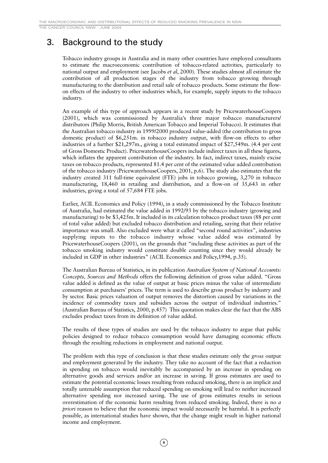THE CANCER COUNCIL NSW · JUNE 2004

# 3. Background to the study

Tobacco industry groups in Australia and in many other countries have employed consultants to estimate the macroeconomic contribution of tobacco-related activities, particularly to national output and employment (see Jacobs *et al*, 2000). These studies almost all estimate the contribution of all production stages of the industry from tobacco growing through manufacturing to the distribution and retail sale of tobacco products. Some estimate the flowon effects of the industry to other industries which, for example, supply inputs to the tobacco industry.

An example of this type of approach appears in a recent study by PricewaterhouseCoopers (2001), which was commissioned by Australia's three major tobacco manufacturers/ distributors (Philip Morris, British American Tobacco and Imperial Tobacco). It estimates that the Australian tobacco industry in 1999/2000 produced value-added (the contribution to gross domestic product) of \$6,251m. in tobacco industry output, with flow-on effects to other industries of a further \$21,297m., giving a total estimated impact of \$27,549m. (4.4 per cent of Gross Domestic Product). PricewaterhouseCoopers include indirect taxes in all these figures, which inflates the apparent contribution of the industry. In fact, indirect taxes, mainly excise taxes on tobacco products, represented 81.4 per cent of the estimated value added contribution of the tobacco industry (PricewaterhouseCoopers, 2001, p.6). The study also estimates that the industry created 311 full-time equivalent (FTE) jobs in tobacco growing, 3,270 in tobacco manufacturing, 18,460 in retailing and distribution, and a flow-on of 35,643 in other industries, giving a total of 57,684 FTE jobs.

Earlier, ACIL Economics and Policy (1994), in a study commissioned by the Tobacco Institute of Australia, had estimated the value added in 1992/93 by the tobacco industry (growing and manufacturing) to be \$3,425m. It included in its calculation tobacco product taxes (88 per cent of total value added) but excluded tobacco distribution and retailing, saying that their relative importance was small. Also excluded were what it called "second round activities", industries supplying inputs to the tobacco industry whose value added was estimated by PricewaterhouseCoopers (2001), on the grounds that "including these activities as part of the tobacco smoking industry would constitute double counting since they would already be included in GDP in other industries" (ACIL Economics and Policy,1994, p.35).

The Australian Bureau of Statistics, in its publication *Australian System of National Accounts: Concepts, Sources and Methods* offers the following definition of gross value added. "Gross value added is defined as the value of output at basic prices minus the value of intermediate consumption at purchasers' prices. The term is used to describe gross product by industry and by sector. Basic prices valuation of output removes the distortion caused by variations in the incidence of commodity taxes and subsidies across the output of individual industries." (Australian Bureau of Statistics, 2000, p.457) This quotation makes clear the fact that the ABS excludes product taxes from its definition of value added.

The results of these types of studies are used by the tobacco industry to argue that public policies designed to reduce tobacco consumption would have damaging economic effects through the resulting reductions in employment and national output.

The problem with this type of conclusion is that these studies estimate only the *gross* output and employment generated by the industry. They take no account of the fact that a reduction in spending on tobacco would inevitably be accompanied by an increase in spending on alternative goods and services and/or an increase in saving. If gross estimates are used to estimate the potential economic losses resulting from reduced smoking, there is an implicit and totally untenable assumption that reduced spending on smoking will lead to neither increased alternative spending nor increased saving. The use of gross estimates results in serious overestimation of the economic harm resulting from reduced smoking. Indeed, there is no *a priori* reason to believe that the economic impact would necessarily be harmful. It is perfectly possible, as international studies have shown, that the change might result in higher national income and employment.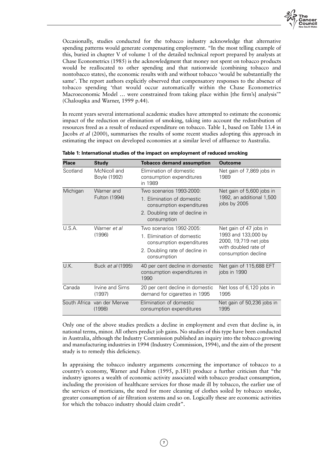

Occasionally, studies conducted for the tobacco industry acknowledge that alternative spending patterns would generate compensating employment. "In the most telling example of this, buried in chapter V of volume 1 of the detailed technical report prepared by analysts at Chase Econometrics (1985) is the acknowledgment that money not spent on tobacco products would be reallocated to other spending and that nationwide (combining tobacco and nontobacco states), the economic results with and without tobacco 'would be substantially the same'. The report authors explicitly observed that compensatory responses to the absence of tobacco spending 'that would occur automatically within the Chase Econometrics Macroeconomic Model … were constrained from taking place within [the firm's] analysis'" (Chaloupka and Warner, 1999 p.44).

In recent years several international academic studies have attempted to estimate the economic impact of the reduction or elimination of smoking, taking into account the redistribution of resources freed as a result of reduced expenditure on tobacco. Table 1, based on Table 13.4 in Jacobs *et al* (2000), summarises the results of some recent studies adopting this approach in estimating the impact on developed economies at a similar level of affluence to Australia.

| <b>Place</b> | <b>Study</b>                         | <b>Tobacco demand assumption</b>                                                                                                    | <b>Outcome</b>                                                                                                        |
|--------------|--------------------------------------|-------------------------------------------------------------------------------------------------------------------------------------|-----------------------------------------------------------------------------------------------------------------------|
| Scotland     | McNicoll and<br>Boyle (1992)         | Elimination of domestic<br>consumption expenditures<br>in 1989                                                                      | Net gain of 7,869 jobs in<br>1989                                                                                     |
| Michigan     | Warner and<br>Fulton (1994)          | Two scenarios 1993-2000:<br>1. Elimination of domestic<br>consumption expenditures<br>2. Doubling rate of decline in<br>consumption | Net gain of 5,600 jobs in<br>1992, an additional 1,500<br>jobs by 2005                                                |
| U.S.A.       | Warner et al<br>(1996)               | Two scenarios 1992-2005:<br>1. Elimination of domestic<br>consumption expenditures<br>2. Doubling rate of decline in<br>consumption | Net gain of 47 jobs in<br>1993 and 133,000 by<br>2000, 19,719 net jobs<br>with doubled rate of<br>consumption decline |
| U.K.         | Buck et al (1995)                    | 40 per cent decline in domestic<br>consumption expenditures in<br>1990                                                              | Net gain of 115,688 EFT<br>jobs in 1990                                                                               |
| Canada       | Irvine and Sims<br>(1997)            | 20 per cent decline in domestic<br>demand for cigarettes in 1995                                                                    | Net loss of 6,120 jobs in<br>1995                                                                                     |
|              | South Africa van der Merwe<br>(1998) | Elimination of domestic<br>consumption expenditures                                                                                 | Net gain of 50,236 jobs in<br>1995                                                                                    |

|  | Table 1: International studies of the impact on employment of reduced smoking |  |  |
|--|-------------------------------------------------------------------------------|--|--|
|--|-------------------------------------------------------------------------------|--|--|

Only one of the above studies predicts a decline in employment and even that decline is, in national terms, minor. All others predict job gains. No studies of this type have been conducted in Australia, although the Industry Commission published an inquiry into the tobacco growing and manufacturing industries in 1994 (Industry Commission, 1994), and the aim of the present study is to remedy this deficiency.

In appraising the tobacco industry arguments concerning the importance of tobacco to a country's economy, Warner and Fulton (1995, p.181) produce a further criticism that "the industry ignores a wealth of economic activity associated with tobacco product consumption, including the provision of healthcare services for those made ill by tobacco, the earlier use of the services of morticians, the need for more cleaning of clothes soiled by tobacco smoke, greater consumption of air filtration systems and so on. Logically these are economic activities for which the tobacco industry should claim credit".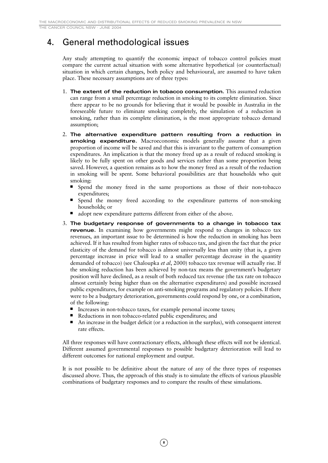THE CANCER COUNCIL NSW · JUNE 2004

# 4. General methodological issues

Any study attempting to quantify the economic impact of tobacco control policies must compare the current actual situation with some alternative hypothetical (or counterfactual) situation in which certain changes, both policy and behavioural, are assumed to have taken place. These necessary assumptions are of three types:

- 1. **The extent of the reduction in tobacco consumption.** This assumed reduction can range from a small percentage reduction in smoking to its complete elimination. Since there appear to be no grounds for believing that it would be possible in Australia in the foreseeable future to eliminate smoking completely, the simulation of a reduction in smoking, rather than its complete elimination, is the most appropriate tobacco demand assumption;
- 2. **The alternative expenditure pattern resulting from a reduction in smoking expenditure.** Macroeconomic models generally assume that a given proportion of income will be saved and that this is invariant to the pattern of consumption expenditures. An implication is that the money freed up as a result of reduced smoking is likely to be fully spent on other goods and services rather than some proportion being saved. However, a question remains as to how the money freed as a result of the reduction in smoking will be spent. Some behavioral possibilities are that households who quit smoking:
	- Spend the money freed in the same proportions as those of their non-tobacco expenditures;
	- Spend the money freed according to the expenditure patterns of non-smoking households; or
	- adopt new expenditure patterns different from either of the above.
- 3. **The budgetary response of governments to a change in tobacco tax revenue.** In examining how governments might respond to changes in tobacco tax revenues, an important issue to be determined is how the reduction in smoking has been achieved. If it has resulted from higher rates of tobacco tax, and given the fact that the price elasticity of the demand for tobacco is almost universally less than unity (that is, a given percentage increase in price will lead to a smaller percentage decrease in the quantity demanded of tobacco) (see Chaloupka *et al*, 2000) tobacco tax revenue will actually rise. If the smoking reduction has been achieved by non-tax means the government's budgetary position will have declined, as a result of both reduced tax revenue (the tax rate on tobacco almost certainly being higher than on the alternative expenditures) and possible increased public expenditures, for example on anti-smoking programs and regulatory policies. If there were to be a budgetary deterioration, governments could respond by one, or a combination, of the following:
	- Increases in non-tobacco taxes, for example personal income taxes;
	- Reductions in non tobacco-related public expenditures; and
	- An increase in the budget deficit (or a reduction in the surplus), with consequent interest rate effects.

All three responses will have contractionary effects, although these effects will not be identical. Different assumed governmental responses to possible budgetary deterioration will lead to different outcomes for national employment and output.

It is not possible to be definitive about the nature of any of the three types of responses discussed above. Thus, the approach of this study is to simulate the effects of various plausible combinations of budgetary responses and to compare the results of these simulations.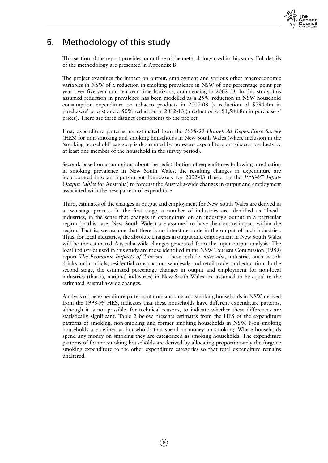

# 5. Methodology of this study

This section of the report provides an outline of the methodology used in this study. Full details of the methodology are presented in Appendix B.

The project examines the impact on output, employment and various other macroeconomic variables in NSW of a reduction in smoking prevalence in NSW of one percentage point per year over five-year and ten-year time horizons, commencing in 2002-03. In this study, this assumed reduction in prevalence has been modelled as a 25% reduction in NSW household consumption expenditure on tobacco products in 2007-08 (a reduction of \$794.4m in purchasers' prices) and a 50% reduction in 2012-13 (a reduction of \$1,588.8m in purchasers' prices). There are three distinct components to the project.

First, expenditure patterns are estimated from the *1998-99 Household Expenditure Survey* (HES) for non-smoking and smoking households in New South Wales (where inclusion in the 'smoking household' category is determined by non-zero expenditure on tobacco products by at least one member of the household in the survey period).

Second, based on assumptions about the redistribution of expenditures following a reduction in smoking prevalence in New South Wales, the resulting changes in expenditure are incorporated into an input-output framework for 2002-03 (based on the *1996-97 Input-Output Tables* for Australia) to forecast the Australia-wide changes in output and employment associated with the new pattern of expenditure.

Third, estimates of the changes in output and employment for New South Wales are derived in a two-stage process. In the first stage, a number of industries are identified as "local" industries, in the sense that changes in expenditure on an industry's output in a particular region (in this case, New South Wales) are assumed to have their entire impact within the region. That is, we assume that there is no interstate trade in the output of such industries. Thus, for local industries, the absolute changes in output and employment in New South Wales will be the estimated Australia-wide changes generated from the input-output analysis. The local industries used in this study are those identified in the NSW Tourism Commission (1989) report *The Economic Impacts of Tourism* – these include, *inter alia*, industries such as soft drinks and cordials, residential construction, wholesale and retail trade, and education. In the second stage, the estimated percentage changes in output and employment for non-local industries (that is, national industries) in New South Wales are assumed to be equal to the estimated Australia-wide changes.

Analysis of the expenditure patterns of non-smoking and smoking households in NSW, derived from the 1998-99 HES, indicates that these households have different expenditure patterns, although it is not possible, for technical reasons, to indicate whether these differences are statistically significant. Table 2 below presents estimates from the HES of the expenditure patterns of smoking, non-smoking and former smoking households in NSW. Non-smoking households are defined as households that spend no money on smoking. Where households spend any money on smoking they are categorized as smoking households. The expenditure patterns of former smoking households are derived by allocating proportionately the forgone smoking expenditure to the other expenditure categories so that total expenditure remains unaltered.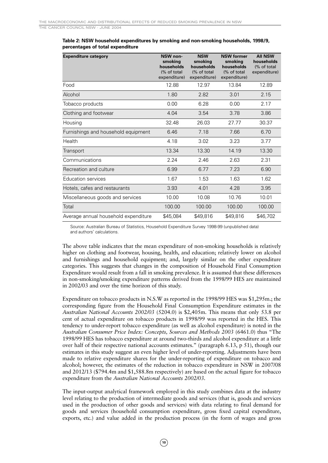| <b>Expenditure category</b>          | <b>NSW</b> non-<br>smoking<br>households<br>(% of total<br>expenditure) | <b>NSW</b><br>smoking<br>households<br>(% of total<br>expenditure) | <b>NSW former</b><br>smoking<br>households<br>(% of total<br>expenditure) | <b>AII NSW</b><br>households<br>(% of total<br>expenditure) |
|--------------------------------------|-------------------------------------------------------------------------|--------------------------------------------------------------------|---------------------------------------------------------------------------|-------------------------------------------------------------|
| Food                                 | 12.88                                                                   | 12.97                                                              | 13.84                                                                     | 12.89                                                       |
| Alcohol                              | 1.80                                                                    | 2.82                                                               | 3.01                                                                      | 2.15                                                        |
| Tobacco products                     | 0.00                                                                    | 6.28                                                               | 0.00                                                                      | 2.17                                                        |
| Clothing and footwear                | 4.04                                                                    | 3.54                                                               | 3.78                                                                      | 3.86                                                        |
| Housing                              | 32.48                                                                   | 26.03                                                              | 27.77                                                                     | 30.37                                                       |
| Furnishings and household equipment  | 6.46                                                                    | 7.18                                                               | 7.66                                                                      | 6.70                                                        |
| Health                               | 4.18                                                                    | 3.02                                                               | 3.23                                                                      | 3.77                                                        |
| <b>Transport</b>                     | 13.34                                                                   | 13.30                                                              | 14.19                                                                     | 13.30                                                       |
| Communications                       | 2.24                                                                    | 2.46                                                               | 2.63                                                                      | 2.31                                                        |
| Recreation and culture               | 6.99                                                                    | 6.77                                                               | 7.23                                                                      | 6.90                                                        |
| <b>Education services</b>            | 1.67                                                                    | 1.53                                                               | 1.63                                                                      | 1.62                                                        |
| Hotels, cafes and restaurants        | 3.93                                                                    | 4.01                                                               | 4.28                                                                      | 3.95                                                        |
| Miscellaneous goods and services     | 10.00                                                                   | 10.08                                                              | 10.76                                                                     | 10.01                                                       |
| Total                                | 100.00                                                                  | 100.00                                                             | 100.00                                                                    | 100.00                                                      |
| Average annual household expenditure | \$45,084                                                                | \$49,816                                                           | \$49,816                                                                  | \$46,702                                                    |

**Table 2: NSW household expenditures by smoking and non-smoking households, 1998/9, percentages of total expenditure**

Source: Australian Bureau of Statistics, Household Expenditure Survey 1998-99 (unpublished data) and authors' calculations.

The above table indicates that the mean expenditure of non-smoking households is relatively higher on clothing and footwear, housing, health, and education; relatively lower on alcohol and furnishings and household equipment; and, largely similar on the other expenditure categories. This suggests that changes in the composition of Household Final Consumption Expenditure would result from a fall in smoking prevalence. It is assumed that these differences in non-smoking/smoking expenditure patterns derived from the 1998/99 HES are maintained in 2002/03 and over the time horizon of this study.

Expenditure on tobacco products in N.S.W as reported in the 1998/99 HES was \$1,295m.; the corresponding figure from the Household Final Consumption Expenditure estimates in the *Australian National Accounts 2002/03* (5204.0) is \$2,405m. This means that only 53.8 per cent of actual expenditure on tobacco products in 1998/99 was reported in the HES. This tendency to under-report tobacco expenditure (as well as alcohol expenditure) is noted in the *Australian Consumer Price Index: Concepts, Sources and Methods 2003* (6461.0) thus "The 1998/99 HES has tobacco expenditure at around two-thirds and alcohol expenditure at a little over half of their respective national accounts estimates." (paragraph 6.13, p 51), though our estimates in this study suggest an even higher level of under-reporting. Adjustments have been made to relative expenditure shares for the under-reporting of expenditure on tobacco and alcohol; however, the estimates of the reduction in tobacco expenditure in NSW in 2007/08 and 2012/13 (\$794.4m and \$1,588.8m respectively) are based on the actual figure for tobacco expenditure from the *Australian National Accounts 2002/03.*

The input-output analytical framework employed in this study combines data at the industry level relating to the production of intermediate goods and services (that is, goods and services used in the production of other goods and services) with data relating to final demand for goods and services (household consumption expenditure, gross fixed capital expenditure, exports, etc.) and value added in the production process (in the form of wages and gross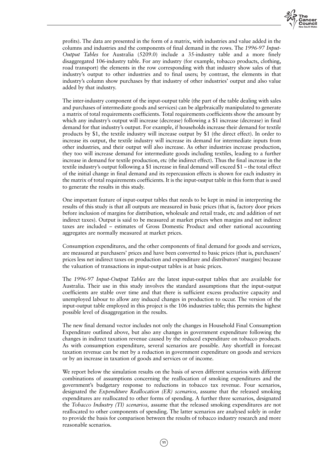

profits). The data are presented in the form of a matrix, with industries and value added in the columns and industries and the components of final demand in the rows. The *1996-97 Input-Output Tables* for Australia (5209.0) include a 35-industry table and a more finely disaggregated 106-industry table. For any industry (for example, tobacco products, clothing, road transport) the elements in the row corresponding with that industry show sales of that industry's output to other industries and to final users; by contrast, the elements in that industry's column show purchases by that industry of other industries' output and also value added by that industry.

The inter-industry component of the input-output table (the part of the table dealing with sales and purchases of intermediate goods and services) can be algebraically manipulated to generate a matrix of total requirements coefficients. Total requirements coefficients show the amount by which any industry's output will increase (decrease) following a \$1 increase (decrease) in final demand for that industry's output. For example, if households increase their demand for textile products by \$1, the textile industry will increase output by \$1 (the direct effect). In order to increase its output, the textile industry will increase its demand for intermediate inputs from other industries, and their output will also increase. As other industries increase production, they too will increase demand for intermediate goods including textiles, leading to a further increase in demand for textile production, etc (the indirect effect). Thus the final increase in the textile industry's output following a \$1 increase in final demand will exceed \$1 – the total effect of the initial change in final demand and its repercussion effects is shown for each industry in the matrix of total requirements coefficients. It is the input-output table in this form that is used to generate the results in this study.

One important feature of input-output tables that needs to be kept in mind in interpreting the results of this study is that all outputs are measured in basic prices (that is, factory door prices before inclusion of margins for distribution, wholesale and retail trade, etc and addition of net indirect taxes). Output is said to be measured at market prices when margins and net indirect taxes are included – estimates of Gross Domestic Product and other national accounting aggregates are normally measured at market prices.

Consumption expenditures, and the other components of final demand for goods and services, are measured at purchasers' prices and have been converted to basic prices (that is, purchasers' prices less net indirect taxes on production and expenditure and distributors' margins) because the valuation of transactions in input-output tables is at basic prices.

The *1996-97 Input-Output Tables* are the latest input-output tables that are available for Australia. Their use in this study involves the standard assumptions that the input-output coefficients are stable over time and that there is sufficient excess productive capacity and unemployed labour to allow any induced changes in production to occur. The version of the input-output table employed in this project is the 106 industries table; this permits the highest possible level of disaggregation in the results.

The new final demand vector includes not only the changes in Household Final Consumption Expenditure outlined above, but also any changes in government expenditure following the changes in indirect taxation revenue caused by the reduced expenditure on tobacco products. As with consumption expenditure, several scenarios are possible. Any shortfall in forecast taxation revenue can be met by a reduction in government expenditure on goods and services or by an increase in taxation of goods and services or of income.

We report below the simulation results on the basis of seven different scenarios with different combinations of assumptions concerning the reallocation of smoking expenditures and the government's budgetary response to reductions in tobacco tax revenue. Four scenarios, designated the *Expenditure Reallocation (ER) scenarios,* assume that the released smoking expenditures are reallocated to other forms of spending. A further three scenarios, designated the *Tobacco Industry (TI) scenarios,* assume that the released smoking expenditures are not reallocated to other components of spending. The latter scenarios are analysed solely in order to provide the basis for comparison between the results of tobacco industry research and more reasonable scenarios.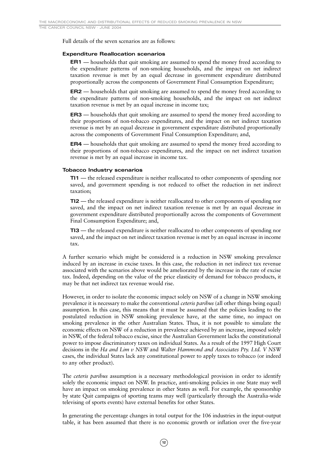THE CANCER COUNCIL NSW · JUNE 2004

Full details of the seven scenarios are as follows:

#### **Expenditure Reallocation scenarios**

**ER1** — households that quit smoking are assumed to spend the money freed according to the expenditure patterns of non-smoking households, and the impact on net indirect taxation revenue is met by an equal decrease in government expenditure distributed proportionally across the components of Government Final Consumption Expenditure;

**ER2** — households that quit smoking are assumed to spend the money freed according to the expenditure patterns of non-smoking households, and the impact on net indirect taxation revenue is met by an equal increase in income tax;

**ER3** — households that quit smoking are assumed to spend the money freed according to their proportions of non-tobacco expenditures, and the impact on net indirect taxation revenue is met by an equal decrease in government expenditure distributed proportionally across the components of Government Final Consumption Expenditure; and,

**ER4** — households that quit smoking are assumed to spend the money freed according to their proportions of non-tobacco expenditures, and the impact on net indirect taxation revenue is met by an equal increase in income tax.

#### **Tobacco Industry scenarios**

**TI1** — the released expenditure is neither reallocated to other components of spending nor saved, and government spending is not reduced to offset the reduction in net indirect taxation;

**TI2** — the released expenditure is neither reallocated to other components of spending nor saved, and the impact on net indirect taxation revenue is met by an equal decrease in government expenditure distributed proportionally across the components of Government Final Consumption Expenditure; and,

**TI3** — the released expenditure is neither reallocated to other components of spending nor saved, and the impact on net indirect taxation revenue is met by an equal increase in income tax.

A further scenario which might be considered is a reduction in NSW smoking prevalence induced by an increase in excise taxes. In this case, the reduction in net indirect tax revenue associated with the scenarios above would be ameliorated by the increase in the rate of excise tax. Indeed, depending on the value of the price elasticity of demand for tobacco products, it may be that net indirect tax revenue would rise.

However, in order to isolate the economic impact solely on NSW of a change in NSW smoking prevalence it is necessary to make the conventional *ceteris paribus* (all other things being equal) assumption. In this case, this means that it must be assumed that the policies leading to the postulated reduction in NSW smoking prevalence have, at the same time, no impact on smoking prevalence in the other Australian States. Thus, it is not possible to simulate the economic effects on NSW of a reduction in prevalence achieved by an increase, imposed solely in NSW, of the federal tobacco excise, since the Australian Government lacks the constitutional power to impose discriminatory taxes on individual States. As a result of the 1997 High Court decisions in the *Ha and Lim v NSW* and *Walter Hammond and Associates Pty. Ltd. V NSW* cases, the individual States lack any constitutional power to apply taxes to tobacco (or indeed to any other product).

The *ceteris paribus* assumption is a necessary methodological provision in order to identify solely the economic impact on NSW. In practice, anti-smoking policies in one State may well have an impact on smoking prevalence in other States as well. For example, the sponsorship by state Quit campaigns of sporting teams may well (particularly through the Australia-wide televising of sports events) have external benefits for other States.

In generating the percentage changes in total output for the 106 industries in the input-output table, it has been assumed that there is no economic growth or inflation over the five-year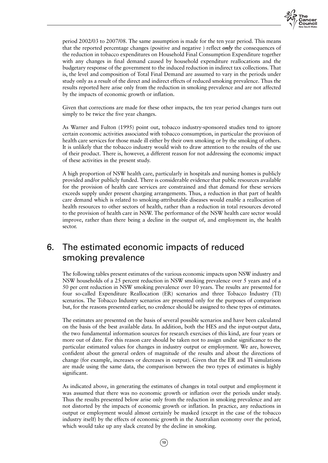

period 2002/03 to 2007/08. The same assumption is made for the ten year period. This means that the reported percentage changes (positive and negative ) reflect *only* the consequences of the reduction in tobacco expenditures on Household Final Consumption Expenditure together with any changes in final demand caused by household expenditure reallocations and the budgetary response of the government to the induced reduction in indirect tax collections. That is, the level and composition of Total Final Demand are assumed to vary in the periods under study only as a result of the direct and indirect effects of reduced smoking prevalence. Thus the results reported here arise only from the reduction in smoking prevalence and are not affected by the impacts of economic growth or inflation.

Given that corrections are made for these other impacts, the ten year period changes turn out simply to be twice the five year changes.

As Warner and Fulton (1995) point out, tobacco industry-sponsored studies tend to ignore certain economic activities associated with tobacco consumption, in particular the provision of health care services for those made ill either by their own smoking or by the smoking of others. It is unlikely that the tobacco industry would wish to draw attention to the results of the use of their product. There is, however, a different reason for not addressing the economic impact of these activities in the present study.

A high proportion of NSW health care, particularly in hospitals and nursing homes is publicly provided and/or publicly funded. There is considerable evidence that public resources available for the provision of health care services are constrained and that demand for these services exceeds supply under present charging arrangements. Thus, a reduction in that part of health care demand which is related to smoking-attributable diseases would enable a reallocation of health resources to other sectors of health, rather than a reduction in total resources devoted to the provision of health care in NSW. The performance of the NSW health care sector would improve, rather than there being a decline in the output of, and employment in, the health sector.

# 6. The estimated economic impacts of reduced smoking prevalence

The following tables present estimates of the various economic impacts upon NSW industry and NSW households of a 25 percent reduction in NSW smoking prevalence over 5 years and of a 50 per cent reduction in NSW smoking prevalence over 10 years. The results are presented for four so-called Expenditure Reallocation (ER) scenarios and three Tobacco Industry (TI) scenarios. The Tobacco Industry scenarios are presented only for the purposes of comparison but, for the reasons presented earlier, no credence should be assigned to these types of estimates.

The estimates are presented on the basis of several possible scenarios and have been calculated on the basis of the best available data. In addition, both the HES and the input-output data, the two fundamental information sources for research exercises of this kind, are four years or more out of date. For this reason care should be taken not to assign undue significance to the particular estimated values for changes in industry output or employment. We are, however, confident about the general orders of magnitude of the results and about the directions of change (for example, increases or decreases in output). Given that the ER and TI simulations are made using the same data, the comparison between the two types of estimates is highly significant.

As indicated above, in generating the estimates of changes in total output and employment it was assumed that there was no economic growth or inflation over the periods under study. Thus the results presented below arise only from the reduction in smoking prevalence and are not distorted by the impacts of economic growth or inflation. In practice, any reductions in output or employment would almost certainly be masked (except in the case of the tobacco industry itself) by the effects of economic growth in the Australian economy over the period, which would take up any slack created by the decline in smoking.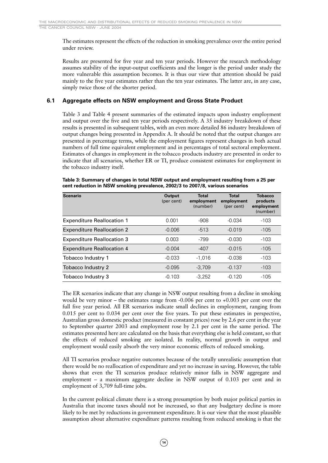The estimates represent the effects of the reduction in smoking prevalence over the entire period under review.

Results are presented for five year and ten year periods. However the research methodology assumes stability of the input-output coefficients and the longer is the period under study the more vulnerable this assumption becomes. It is thus our view that attention should be paid mainly to the five year estimates rather than the ten year estimates. The latter are, in any case, simply twice those of the shorter period.

# **6.1 Aggregate effects on NSW employment and Gross State Product**

Table 3 and Table 4 present summaries of the estimated impacts upon industry employment and output over the five and ten year periods respectively. A 35 industry breakdown of these results is presented in subsequent tables, with an even more detailed 86 industry breakdown of output changes being presented in Appendix A. It should be noted that the output changes are presented in percentage terms, while the employment figures represent changes in both actual numbers of full time equivalent employment and in percentages of total sectoral employment. Estimates of changes in employment in the tobacco products industry are presented in order to indicate that all scenarios, whether ER or TI, produce consistent estimates for employment in the tobacco industry itself.

| <b>Scenario</b>                   | <b>Output</b><br>(per cent) | <b>Total</b><br>employment<br>(number) | <b>Total</b><br>employment<br>(per cent) | <b>Tobacco</b><br>products<br>employment<br>(number) |
|-----------------------------------|-----------------------------|----------------------------------------|------------------------------------------|------------------------------------------------------|
| <b>Expenditure Reallocation 1</b> | 0.001                       | $-908$                                 | $-0.034$                                 | $-103$                                               |
| <b>Expenditure Reallocation 2</b> | $-0.006$                    | $-513$                                 | $-0.019$                                 | $-105$                                               |
| <b>Expenditure Reallocation 3</b> | 0.003                       | -799                                   | $-0.030$                                 | $-103$                                               |
| <b>Expenditure Reallocation 4</b> | $-0.004$                    | $-407$                                 | $-0.015$                                 | $-105$                                               |
| Tobacco Industry 1                | $-0.033$                    | $-1.016$                               | $-0.038$                                 | $-103$                                               |
| <b>Tobacco Industry 2</b>         | $-0.095$                    | $-3.709$                               | $-0.137$                                 | $-103$                                               |
| Tobacco Industry 3                | $-0.103$                    | $-3.252$                               | $-0.120$                                 | $-105$                                               |

**Table 3: Summary of changes in total NSW output and employment resulting from a 25 per cent reduction in NSW smoking prevalence, 2002/3 to 2007/8, various scenarios**

The ER scenarios indicate that any change in NSW output resulting from a decline in smoking would be very minor – the estimates range from -0.006 per cent to +0.003 per cent over the full five year period. All ER scenarios indicate small declines in employment, ranging from 0.015 per cent to 0.034 per cent over the five years. To put these estimates in perspective, Australian gross domestic product (measured in constant prices) rose by 2.6 per cent in the year to September quarter 2003 and employment rose by 2.1 per cent in the same period. The estimates presented here are calculated on the basis that everything else is held constant, so that the effects of reduced smoking are isolated. In reality, normal growth in output and employment would easily absorb the very minor economic effects of reduced smoking.

All TI scenarios produce negative outcomes because of the totally unrealistic assumption that there would be no reallocation of expenditure and yet no increase in saving. However, the table shows that even the TI scenarios produce relatively minor falls in NSW aggregate and employment – a maximum aggregate decline in NSW output of 0.103 per cent and in employment of 3,709 full-time jobs.

In the current political climate there is a strong presumption by both major political parties in Australia that income taxes should not be increased, so that any budgetary decline is more likely to be met by reductions in government expenditure. It is our view that the most plausible assumption about alternative expenditure patterns resulting from reduced smoking is that the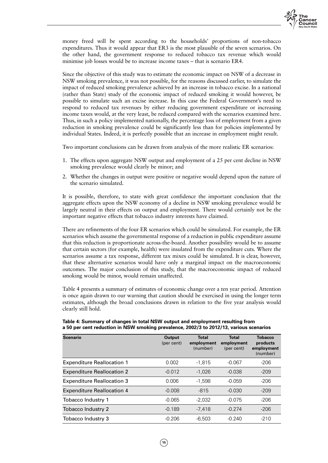

money freed will be spent according to the households' proportions of non-tobacco expenditures. Thus it would appear that ER3 is the most plausible of the seven scenarios. On the other hand, the government response to reduced tobacco tax revenue which would minimise job losses would be to increase income taxes – that is scenario ER4.

Since the objective of this study was to estimate the economic impact on NSW of a decrease in NSW smoking prevalence, it was not possible, for the reasons discussed earlier, to simulate the impact of reduced smoking prevalence achieved by an increase in tobacco excise. In a national (rather than State) study of the economic impact of reduced smoking it would however, be possible to simulate such an excise increase. In this case the Federal Government's need to respond to reduced tax revenues by either reducing government expenditure or increasing income taxes would, at the very least, be reduced compared with the scenarios examined here. Thus, in such a policy implemented nationally, the percentage loss of employment from a given reduction in smoking prevalence could be significantly less than for policies implemented by individual States. Indeed, it is perfectly possible that an increase in employment might result.

Two important conclusions can be drawn from analysis of the more realistic ER scenarios:

- 1. The effects upon aggregate NSW output and employment of a 25 per cent decline in NSW smoking prevalence would clearly be minor; and
- 2. Whether the changes in output were positive or negative would depend upon the nature of the scenario simulated.

It is possible, therefore, to state with great confidence the important conclusion that the aggregate effects upon the NSW economy of a decline in NSW smoking prevalence would be largely neutral in their effects on output and employment. There would certainly not be the important negative effects that tobacco industry interests have claimed.

There are refinements of the four ER scenarios which could be simulated. For example, the ER scenarios which assume the governmental response of a reduction in public expenditure assume that this reduction is proportionate across-the-board. Another possibility would be to assume that certain sectors (for example, health) were insulated from the expenditure cuts. Where the scenarios assume a tax response, different tax mixes could be simulated. It is clear, however, that these alternative scenarios would have only a marginal impact on the macroeconomic outcomes. The major conclusion of this study, that the macroeconomic impact of reduced smoking would be minor, would remain unaffected.

Table 4 presents a summary of estimates of economic change over a ten year period. Attention is once again drawn to our warning that caution should be exercised in using the longer term estimates, although the broad conclusions drawn in relation to the five year analysis would clearly still hold.

| <b>Scenario</b>                   | Output<br>(per cent) | Total<br>employment<br>(number) | <b>Total</b><br>employment<br>(per cent) | <b>Tobacco</b><br>products<br>employment<br>(number) |
|-----------------------------------|----------------------|---------------------------------|------------------------------------------|------------------------------------------------------|
| <b>Expenditure Reallocation 1</b> | 0.002                | $-1.815$                        | $-0.067$                                 | $-206$                                               |
| <b>Expenditure Reallocation 2</b> | $-0.012$             | $-1.026$                        | $-0.038$                                 | $-209$                                               |
| <b>Expenditure Reallocation 3</b> | 0.006                | $-1.598$                        | $-0.059$                                 | $-206$                                               |
| <b>Expenditure Reallocation 4</b> | $-0.008$             | $-815$                          | $-0.030$                                 | $-209$                                               |
| Tobacco Industry 1                | $-0.065$             | $-2.032$                        | $-0.075$                                 | $-206$                                               |
| Tobacco Industry 2                | $-0.189$             | $-7.418$                        | $-0.274$                                 | $-206$                                               |
| Tobacco Industry 3                | $-0.206$             | $-6.503$                        | $-0.240$                                 | $-210$                                               |

**Table 4: Summary of changes in total NSW output and employment resulting from a 50 per cent reduction in NSW smoking prevalence, 2002/3 to 2012/13, various scenarios**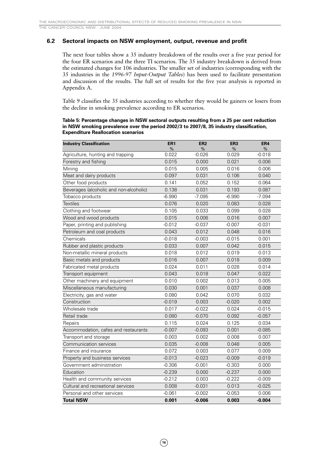## **6.2 Sectoral impacts on NSW employment, output, revenue and profit**

The next four tables show a 35 industry breakdown of the results over a five year period for the four ER scenarios and the three TI scenarios. The 35 industry breakdown is derived from the estimated changes for 106 industries. The smaller set of industries (corresponding with the 35 industries in the *1996-97 Input-Output Tables*) has been used to facilitate presentation and discussion of the results. The full set of results for the five year analysis is reported in Appendix A.

Table 9 classifies the 35 industries according to whether they would be gainers or losers from the decline in smoking prevalence according to ER scenarios.

#### **Table 5: Percentage changes in NSW sectoral outputs resulting from a 25 per cent reduction in NSW smoking prevalence over the period 2002/3 to 2007/8, 35 industry classification, Expenditure Reallocation scenarios**

| <b>Industry Classification</b>                  | ER <sub>1</sub> | ER <sub>2</sub> | ER <sub>3</sub> | ER4           |
|-------------------------------------------------|-----------------|-----------------|-----------------|---------------|
| Agriculture, hunting and trapping               | %<br>0.022      | %<br>-0.026     | %<br>0.029      | %<br>$-0.018$ |
| Forestry and fishing                            | 0.015           | 0.000           | 0.021           | 0.006         |
| Mining                                          | 0.015           | 0.005           | 0.016           | 0.006         |
| Meat and dairy products                         | 0.097           | 0.031           | 0.106           | 0.040         |
| Other food products                             | 0.141           | 0.052           | 0.152           | 0.064         |
| Beverages (alcoholic and non-alcoholic)         | 0.138           | 0.031           | 0.193           | 0.087         |
| Tobacco products                                | $-6.990$        | $-7.095$        | $-6.990$        | $-7.094$      |
| <b>Textiles</b>                                 | 0.076           | 0.020           | 0.083           | 0.028         |
|                                                 | 0.105           | 0.033           | 0.099           | 0.028         |
| Clothing and footwear<br>Wood and wood products |                 |                 |                 |               |
|                                                 | 0.015           | 0.006           | 0.016           | 0.007         |
| Paper, printing and publishing                  | $-0.012$        | $-0.037$        | $-0.007$        | $-0.031$      |
| Petroleum and coal products                     | 0.043           | 0.012           | 0.048           | 0.016         |
| Chemicals                                       | $-0.018$        | $-0.003$        | $-0.015$        | 0.001         |
| Rubber and plastic products                     | 0.033           | 0.007           | 0.042           | 0.015         |
| Non-metallic mineral products                   | 0.018           | 0.012           | 0.019           | 0.013         |
| Basic metals and products                       | 0.016           | 0.007           | 0.018           | 0.009         |
| Fabricated metal products                       | 0.024           | 0.011           | 0.028           | 0.014         |
| Transport equipment                             | 0.043           | 0.018           | 0.047           | 0.022         |
| Other machinery and equipment                   | 0.010           | 0.002           | 0.013           | 0.005         |
| Miscellaneous manufacturing                     | 0.030           | 0.001           | 0.037           | 0.008         |
| Electricity, gas and water                      | 0.080           | 0.042           | 0.070           | 0.032         |
| Construction                                    | $-0.019$        | 0.003           | $-0.020$        | 0.002         |
| Wholesale trade                                 | 0.017           | $-0.022$        | 0.024           | $-0.015$      |
| Retail trade                                    | 0.080           | $-0.070$        | 0.092           | $-0.057$      |
| Repairs                                         | 0.115           | 0.024           | 0.125           | 0.034         |
| Accommodation, cafes and restaurants            | $-0.007$        | $-0.093$        | 0.001           | $-0.085$      |
| Transport and storage                           | 0.003           | 0.002           | 0.008           | 0.007         |
| Communication services                          | 0.035           | $-0.008$        | 0.048           | 0.005         |
| Finance and insurance                           | 0.072           | 0.003           | 0.077           | 0.009         |
| Property and business services                  | $-0.013$        | $-0.023$        | $-0.009$        | $-0.019$      |
| Government administration                       | $-0.306$        | $-0.001$        | $-0.303$        | 0.000         |
| Education                                       | $-0.239$        | 0.000           | $-0.237$        | 0.000         |
| Health and community services                   | $-0.212$        | 0.003           | $-0.222$        | $-0.009$      |
| Cultural and recreational services              | 0.008           | $-0.031$        | 0.013           | $-0.025$      |
| Personal and other services                     | $-0.061$        | $-0.002$        | $-0.053$        | 0.006         |
| <b>Total NSW</b>                                | 0.001           | $-0.006$        | 0.003           | $-0.004$      |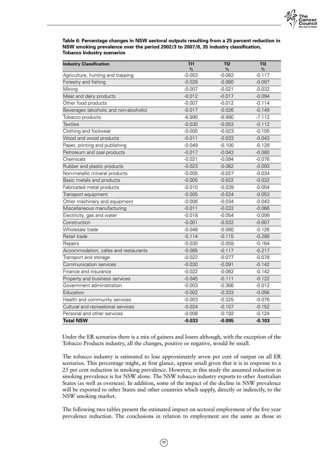

**Table 6: Percentage changes in NSW sectoral outputs resulting from a 25 percent reduction in NSW smoking prevalence over the period 2002/3 to 2007/8, 35 industry classification, Tobacco Industry scenarios**

| <b>Industry Classification</b>          | TI1<br>$\frac{9}{6}$ | TI2<br>% | TI3<br>$\%$ |
|-----------------------------------------|----------------------|----------|-------------|
| Agriculture, hunting and trapping       | $-0.053$             | $-0.062$ | $-0.117$    |
| Forestry and fishing                    | $-0.028$             | $-0.080$ | $-0.097$    |
| Mining                                  | $-0.007$             | $-0.021$ | $-0.032$    |
| Meat and dairy products                 | $-0.012$             | $-0.017$ | $-0.094$    |
| Other food products                     | $-0.007$             | $-0.012$ | $-0.114$    |
| Beverages (alcoholic and non-alcoholic) | $-0.017$             | $-0.026$ | $-0.149$    |
| Tobacco products                        | $-6.990$             | $-6.990$ | $-7.112$    |
| <b>Textiles</b>                         | $-0.030$             | $-0.053$ | $-0.112$    |
| Clothing and footwear                   | $-0.005$             | $-0.023$ | $-0.105$    |
| Wood and wood products                  | $-0.011$             | $-0.033$ | $-0.043$    |
| Paper, printing and publishing          | $-0.049$             | $-0.100$ | $-0.128$    |
| Petroleum and coal products             | $-0.017$             | $-0.043$ | $-0.080$    |
| Chemicals                               | $-0.021$             | $-0.094$ | $-0.076$    |
| Rubber and plastic products             | $-0.023$             | $-0.062$ | $-0.093$    |
| Non-metallic mineral products           | $-0.005$             | $-0.027$ | $-0.034$    |
| Basic metals and products               | $-0.005$             | $-0.022$ | $-0.032$    |
| Fabricated metal products               | $-0.010$             | $-0.039$ | $-0.054$    |
| Transport equipment                     | $-0.005$             | $-0.024$ | $-0.053$    |
| Other machinery and equipment           | $-0.008$             | $-0.034$ | $-0.043$    |
| Miscellaneous manufacturing             | $-0.011$             | $-0.033$ | $-0.066$    |
| Electricity, gas and water              | $-0.018$             | $-0.054$ | $-0.099$    |
| Construction                            | $-0.001$             | $-0.032$ | $-0.007$    |
| Wholesale trade                         | $-0.048$             | $-0.080$ | $-0.126$    |
| Retail trade                            | $-0.114$             | $-0.115$ | $-0.288$    |
| Repairs                                 | $-0.030$             | $-0.059$ | $-0.164$    |
| Accommodation, cafes and restaurants    | $-0.085$             | $-0.117$ | $-0.217$    |
| Transport and storage                   | $-0.022$             | $-0.077$ | $-0.078$    |
| Communication services                  | $-0.030$             | $-0.091$ | $-0.142$    |
| Finance and insurance                   | $-0.022$             | $-0.062$ | $-0.142$    |
| Property and business services          | $-0.045$             | $-0.111$ | $-0.122$    |
| Government administration               | $-0.003$             | $-0.366$ | $-0.012$    |
| Education                               | $-0.002$             | $-0.333$ | $-0.056$    |
| Health and community services           | $-0.003$             | $-0.325$ | $-0.076$    |
| Cultural and recreational services      | $-0.024$             | $-0.107$ | $-0.152$    |
| Personal and other services             | $-0.008$             | $-0.192$ | $-0.124$    |
| <b>Total NSW</b>                        | $-0.033$             | $-0.095$ | $-0.103$    |

Under the ER scenarios there is a mix of gainers and losers although, with the exception of the Tobacco Products industry, all the changes, positive or negative, would be small.

The tobacco industry is estimated to lose approximately seven per cent of output on all ER scenarios. This percentage might, at first glance, appear small given that it is in response to a 25 per cent reduction in smoking prevalence. However, in this study the assumed reduction in smoking prevalence is for NSW alone. The NSW tobacco industry exports to other Australian States (as well as overseas). In addition, some of the impact of the decline in NSW prevalence will be exported to other States and other countries which supply, directly or indirectly, to the NSW smoking market.

The following two tables present the estimated impact on sectoral employment of the five year prevalence reduction. The conclusions in relation to employment are the same as those in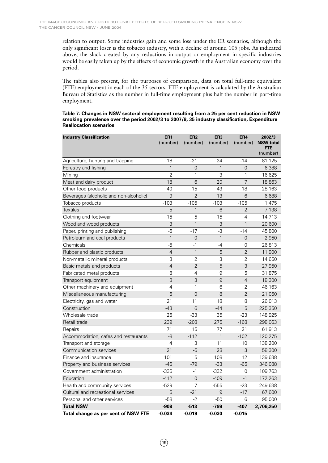relation to output. Some industries gain and some lose under the ER scenarios, although the only significant loser is the tobacco industry, with a decline of around 105 jobs. As indicated above, the slack created by any reductions in output or employment in specific industries would be easily taken up by the effects of economic growth in the Australian economy over the period.

The tables also present, for the purposes of comparison, data on total full-time equivalent (FTE) employment in each of the 35 sectors. FTE employment is calculated by the Australian Bureau of Statistics as the number in full-time employment plus half the number in part-time employment.

#### **Table 7: Changes in NSW sectoral employment resulting from a 25 per cent reduction in NSW smoking prevalence over the period 2002/3 to 2007/8, 35 industry classification, Expenditure Reallocation scenarios**

| <b>Industry Classification</b>          | ER <sub>1</sub> | ER <sub>2</sub> | ER <sub>3</sub> | ER4            | 2002/3                  |
|-----------------------------------------|-----------------|-----------------|-----------------|----------------|-------------------------|
|                                         | (number)        | (number)        | (number)        | (number)       | <b>NSW total</b><br>FTE |
|                                         |                 |                 |                 |                | (number)                |
| Agriculture, hunting and trapping       | 18              | $-21$           | 24              | $-14$          | 81,125                  |
| Forestry and fishing                    | $\mathbf{1}$    | $\overline{0}$  | 1               | 0              | 6,388                   |
| Mining                                  | $\overline{2}$  | $\mathbf{1}$    | 3               | 1              | 16,625                  |
| Meat and dairy product                  | 18              | 6               | 20              | $\overline{7}$ | 18,863                  |
| Other food products                     | 40              | 15              | 43              | 18             | 28,163                  |
| Beverages (alcoholic and non-alcoholic) | 9               | $\overline{2}$  | 13              | 6              | 6,688                   |
| Tobacco products                        | $-103$          | $-105$          | $-103$          | $-105$         | 1,475                   |
| <b>Textiles</b>                         | 5               | $\mathbf{1}$    | 6               | $\overline{2}$ | 7,138                   |
| Clothing and footwear                   | 15              | 5               | 15              | 4              | 14,713                  |
| Wood and wood products                  | 3               | $\mathbf{1}$    | 3               | $\mathbf{1}$   | 20,600                  |
| Paper, printing and publishing          | $-6$            | $-17$           | -3              | $-14$          | 45,800                  |
| Petroleum and coal products             | $\mathbf{1}$    | $\overline{0}$  | $\mathbf{1}$    | 0              | 2,950                   |
| Chemicals                               | $-5$            | $-1$            | $-4$            | 0              | 26,813                  |
| Rubber and plastic products             | 4               | $\mathbf{1}$    | 5               | $\overline{2}$ | 11,900                  |
| Non-metallic mineral products           | 3               | $\overline{2}$  | 3               | $\overline{2}$ | 14,650                  |
| Basic metals and products               | $\overline{4}$  | $\overline{2}$  | 5               | 3              | 27,950                  |
| Fabricated metal products               | 8               | 4               | 9               | 5              | 31,875                  |
| Transport equipment                     | 8               | 3               | 9               | $\overline{4}$ | 18,300                  |
| Other machinery and equipment           | 4               | 1               | 6               | $\overline{2}$ | 46,163                  |
| Miscellaneous manufacturing             | 6               | $\overline{0}$  | 8               | $\overline{2}$ | 21,050                  |
| Electricity, gas and water              | 21              | 11              | 18              | 8              | 26,013                  |
| Construction                            | $-43$           | 6               | $-44$           | 5              | 225,350                 |
| Wholesale trade                         | 26              | -33             | 35              | $-23$          | 148,925                 |
| Retail trade                            | 239             | $-208$          | 275             | $-168$         | 298,063                 |
| Repairs                                 | 71              | 15              | 77              | 21             | 61,913                  |
| Accommodation, cafes and restaurants    | -8              | $-112$          | $\mathbf{1}$    | $-102$         | 120,275                 |
| Transport and storage                   | $\overline{4}$  | 3               | 11              | 10             | 138,200                 |
| Communication services                  | 21              | $-5$            | 28              | 3              | 58,300                  |
| Finance and insurance                   | 101             | 5               | 108             | 12             | 139,638                 |
| Property and business services          | $-46$           | $-79$           | $-33$           | $-65$          | 346,088                 |
| Government administration               | $-336$          | $-1$            | $-332$          | 0              | 109,763                 |
| Education                               | $-412$          | 0               | $-409$          | $-1$           | 172,263                 |
| Health and community services           | $-529$          | 7               | $-555$          | $-23$          | 249,638                 |
| Cultural and recreational services      | 5               | $-21$           | 9               | $-17$          | 67,600                  |
| Personal and other services             | $-58$           | $-2$            | $-50$           | 6              | 95,000                  |
| <b>Total NSW</b>                        | $-908$          | -513            | $-799$          | -407           | 2,706,250               |
| Total change as per cent of NSW FTE     | $-0.034$        | $-0.019$        | $-0.030$        | $-0.015$       |                         |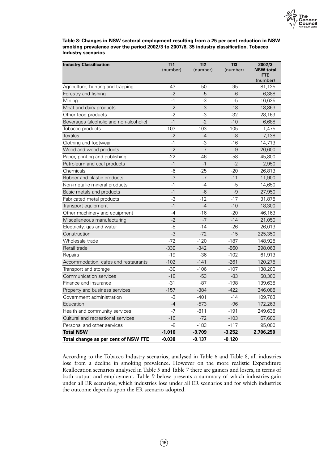

**Table 8: Changes in NSW sectoral employment resulting from a 25 per cent reduction in NSW smoking prevalence over the period 2002/3 to 2007/8, 35 industry classification, Tobacco Industry scenarios**

| <b>Industry Classification</b>          | TI1<br>(number) | TI2<br>(number) | TI3<br>(number) | 2002/3<br><b>NSW</b> total |
|-----------------------------------------|-----------------|-----------------|-----------------|----------------------------|
|                                         |                 |                 |                 | <b>FTE</b><br>(number)     |
| Agriculture, hunting and trapping       | $-43$           | $-50$           | $-95$           | 81,125                     |
| Forestry and fishing                    | $-2$            | $-5$            | $-6$            | 6,388                      |
| Mining                                  | $-1$            | -3              | -5              | 16,625                     |
| Meat and dairy products                 | $-2$            | $-3$            | $-18$           | 18,863                     |
| Other food products                     | $-2$            | -3              | $-32$           | 28,163                     |
| Beverages (alcoholic and non-alcoholic) | $-1$            | $-2$            | $-10$           | 6,688                      |
| Tobacco products                        | $-103$          | $-103$          | $-105$          | 1,475                      |
| <b>Textiles</b>                         | $-2$            | $-4$            | $-8$            | 7,138                      |
| Clothing and footwear                   | $-1$            | -3              | $-16$           | 14,713                     |
| Wood and wood products                  | $-2$            | $-7$            | $-9$            | 20,600                     |
| Paper, printing and publishing          | $-22$           | -46             | $-58$           | 45,800                     |
| Petroleum and coal products             | $-1$            | $-1$            | $-2$            | 2,950                      |
| Chemicals                               | $-6$            | $-25$           | $-20$           | 26,813                     |
| Rubber and plastic products             | $-3$            | $-7$            | $-11$           | 11,900                     |
| Non-metallic mineral products           | $-1$            | $-4$            | $-5$            | 14,650                     |
| Basic metals and products               | $-1$            | $-6$            | $-9$            | 27,950                     |
| Fabricated metal products               | $-3$            | $-12$           | $-17$           | 31,875                     |
| Transport equipment                     | $-1$            | $-4$            | $-10$           | 18,300                     |
| Other machinery and equipment           | $-4$            | $-16$           | $-20$           | 46,163                     |
| Miscellaneous manufacturing             | $-2$            | $-7$            | $-14$           | 21,050                     |
| Electricity, gas and water              | $-5$            | $-14$           | $-26$           | 26,013                     |
| Construction                            | $-3$            | $-72$           | $-15$           | 225,350                    |
| Wholesale trade                         | $-72$           | $-120$          | $-187$          | 148,925                    |
| Retail trade                            | $-339$          | $-342$          | $-860$          | 298,063                    |
| Repairs                                 | $-19$           | $-36$           | $-102$          | 61,913                     |
| Accommodation, cafes and restaurants    | $-102$          | $-141$          | $-261$          | 120,275                    |
| Transport and storage                   | $-30$           | $-106$          | $-107$          | 138,200                    |
| Communication services                  | $-18$           | $-53$           | $-83$           | 58,300                     |
| Finance and insurance                   | $-31$           | $-87$           | $-198$          | 139,638                    |
| Property and business services          | $-157$          | $-384$          | $-422$          | 346,088                    |
| Government administration               | $-3$            | $-401$          | $-14$           | 109,763                    |
| Education                               | $-4$            | $-573$          | $-96$           | 172,263                    |
| Health and community services           | $-7$            | $-811$          | $-191$          | 249,638                    |
| Cultural and recreational services      | $-16$           | $-72$           | $-103$          | 67,600                     |
| Personal and other services             | -8              | $-183$          | $-117$          | 95,000                     |
| <b>Total NSW</b>                        | $-1,016$        | $-3,709$        | $-3,252$        | 2,706,250                  |
| Total change as per cent of NSW FTE     | $-0.038$        | $-0.137$        | $-0.120$        |                            |

According to the Tobacco Industry scenarios, analysed in Table 6 and Table 8, all industries lose from a decline in smoking prevalence. However on the more realistic Expenditure Reallocation scenarios analysed in Table 5 and Table 7 there are gainers and losers, in terms of both output and employment. Table 9 below presents a summary of which industries gain under all ER scenarios, which industries lose under all ER scenarios and for which industries the outcome depends upon the ER scenario adopted.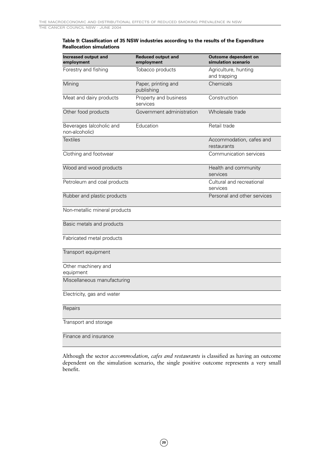### **Table 9: Classification of 35 NSW industries according to the results of the Expenditure Reallocation simulations**

| Increased output and<br>employment         | <b>Reduced output and</b><br>employment | Outcome dependent on<br>simulation scenario |
|--------------------------------------------|-----------------------------------------|---------------------------------------------|
| Forestry and fishing                       | Tobacco products                        | Agriculture, hunting<br>and trapping        |
| Mining                                     | Paper, printing and<br>publishing       | Chemicals                                   |
| Meat and dairy products                    | Property and business<br>services       | Construction                                |
| Other food products                        | Government administration               | Wholesale trade                             |
| Beverages (alcoholic and<br>non-alcoholic) | Education                               | Retail trade                                |
| <b>Textiles</b>                            |                                         | Accommodation, cafes and<br>restaurants     |
| Clothing and footwear                      |                                         | Communication services                      |
| Wood and wood products                     |                                         | Health and community<br>services            |
| Petroleum and coal products                |                                         | Cultural and recreational<br>services       |
| Rubber and plastic products                |                                         | Personal and other services                 |
| Non-metallic mineral products              |                                         |                                             |
| Basic metals and products                  |                                         |                                             |
| Fabricated metal products                  |                                         |                                             |
| Transport equipment                        |                                         |                                             |
| Other machinery and<br>equipment           |                                         |                                             |
| Miscellaneous manufacturing                |                                         |                                             |
| Electricity, gas and water                 |                                         |                                             |
| Repairs                                    |                                         |                                             |
| Transport and storage                      |                                         |                                             |
| Finance and insurance                      |                                         |                                             |

Although the sector *accommodation, cafes and restaurants* is classified as having an outcome dependent on the simulation scenario, the single positive outcome represents a very small benefit.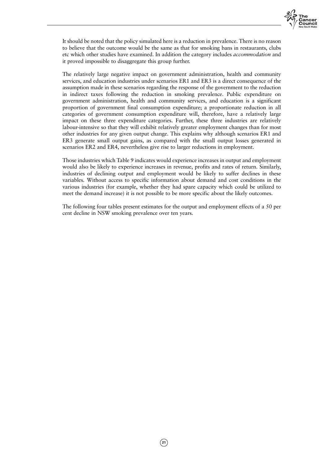

It should be noted that the policy simulated here is a reduction in prevalence. There is no reason to believe that the outcome would be the same as that for smoking bans in restaurants, clubs etc which other studies have examined. In addition the category includes *accommodation* and it proved impossible to disaggregate this group further.

The relatively large negative impact on government administration, health and community services, and education industries under scenarios ER1 and ER3 is a direct consequence of the assumption made in these scenarios regarding the response of the government to the reduction in indirect taxes following the reduction in smoking prevalence. Public expenditure on government administration, health and community services, and education is a significant proportion of government final consumption expenditure; a proportionate reduction in all categories of government consumption expenditure will, therefore, have a relatively large impact on these three expenditure categories. Further, these three industries are relatively labour-intensive so that they will exhibit relatively greater employment changes than for most other industries for any given output change. This explains why although scenarios ER1 and ER3 generate small output gains, as compared with the small output losses generated in scenarios ER2 and ER4, nevertheless give rise to larger reductions in employment.

Those industries which Table 9 indicates would experience increases in output and employment would also be likely to experience increases in revenue, profits and rates of return. Similarly, industries of declining output and employment would be likely to suffer declines in these variables. Without access to specific information about demand and cost conditions in the various industries (for example, whether they had spare capacity which could be utilized to meet the demand increase) it is not possible to be more specific about the likely outcomes.

The following four tables present estimates for the output and employment effects of a 50 per cent decline in NSW smoking prevalence over ten years.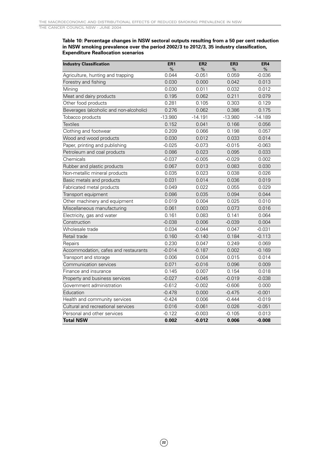#### **Table 10: Percentage changes in NSW sectoral outputs resulting from a 50 per cent reduction in NSW smoking prevalence over the period 2002/3 to 2012/3, 35 industry classification, Expenditure Reallocation scenarios**

| <b>Industry Classification</b>          | ER <sub>1</sub> | ER <sub>2</sub> | ER <sub>3</sub> | ER4       |
|-----------------------------------------|-----------------|-----------------|-----------------|-----------|
|                                         | %               | %               | $\%$            | %         |
| Agriculture, hunting and trapping       | 0.044           | $-0.051$        | 0.059           | $-0.036$  |
| Forestry and fishing                    | 0.030           | 0.000           | 0.042           | 0.013     |
| Mining                                  | 0.030           | 0.011           | 0.032           | 0.012     |
| Meat and dairy products                 | 0.195           | 0.062           | 0.211           | 0.079     |
| Other food products                     | 0.281           | 0.105           | 0.303           | 0.129     |
| Beverages (alcoholic and non-alcoholic) | 0.276           | 0.062           | 0.386           | 0.175     |
| Tobacco products                        | $-13.980$       | $-14.191$       | $-13.980$       | $-14.189$ |
| <b>Textiles</b>                         | 0.152           | 0.041           | 0.166           | 0.056     |
| Clothing and footwear                   | 0.209           | 0.066           | 0.198           | 0.057     |
| Wood and wood products                  | 0.030           | 0.012           | 0.033           | 0.014     |
| Paper, printing and publishing          | $-0.025$        | $-0.073$        | $-0.015$        | $-0.063$  |
| Petroleum and coal products             | 0.086           | 0.023           | 0.095           | 0.033     |
| Chemicals                               | $-0.037$        | $-0.005$        | $-0.029$        | 0.002     |
| Rubber and plastic products             | 0.067           | 0.013           | 0.083           | 0.030     |
| Non-metallic mineral products           | 0.035           | 0.023           | 0.038           | 0.026     |
| Basic metals and products               | 0.031           | 0.014           | 0.036           | 0.019     |
| Fabricated metal products               | 0.049           | 0.022           | 0.055           | 0.029     |
| Transport equipment                     | 0.086           | 0.035           | 0.094           | 0.044     |
| Other machinery and equipment           | 0.019           | 0.004           | 0.025           | 0.010     |
| Miscellaneous manufacturing             | 0.061           | 0.003           | 0.073           | 0.016     |
| Electricity, gas and water              | 0.161           | 0.083           | 0.141           | 0.064     |
| Construction                            | $-0.038$        | 0.006           | $-0.039$        | 0.004     |
| Wholesale trade                         | 0.034           | $-0.044$        | 0.047           | $-0.031$  |
| Retail trade                            | 0.160           | $-0.140$        | 0.184           | $-0.113$  |
| Repairs                                 | 0.230           | 0.047           | 0.249           | 0.069     |
| Accommodation, cafes and restaurants    | $-0.014$        | $-0.187$        | 0.002           | $-0.169$  |
| Transport and storage                   | 0.006           | 0.004           | 0.015           | 0.014     |
| Communication services                  | 0.071           | $-0.016$        | 0.096           | 0.009     |
| Finance and insurance                   | 0.145           | 0.007           | 0.154           | 0.018     |
| Property and business services          | $-0.027$        | $-0.045$        | $-0.019$        | $-0.038$  |
| Government administration               | $-0.612$        | $-0.002$        | $-0.606$        | 0.000     |
| Education                               | $-0.478$        | 0.000           | $-0.475$        | $-0.001$  |
| Health and community services           | $-0.424$        | 0.006           | $-0.444$        | $-0.019$  |
| Cultural and recreational services      | 0.016           | $-0.061$        | 0.026           | $-0.051$  |
| Personal and other services             | $-0.122$        | $-0.003$        | $-0.105$        | 0.013     |
| <b>Total NSW</b>                        | 0.002           | $-0.012$        | 0.006           | $-0.008$  |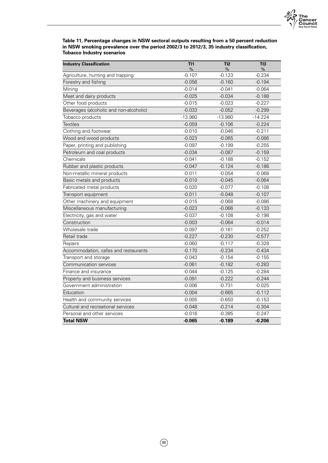

**Table 11, Percentage changes in NSW sectoral outputs resulting from a 50 percent reduction in NSW smoking prevalence over the period 2002/3 to 2012/3, 35 industry classification, Tobacco Industry scenarios**

| <b>Industry Classification</b>          | TI1<br>%  | TI2<br>%  | TI3<br>%  |
|-----------------------------------------|-----------|-----------|-----------|
| Agriculture, hunting and trapping       | $-0.107$  | $-0.123$  | $-0.234$  |
| Forestry and fishing                    | $-0.056$  | $-0.160$  | $-0.194$  |
| Mining                                  | $-0.014$  | $-0.041$  | $-0.064$  |
| Meat and dairy products                 | $-0.025$  | $-0.034$  | $-0.188$  |
| Other food products                     | $-0.015$  | $-0.023$  | $-0.227$  |
| Beverages (alcoholic and non-alcoholic) | $-0.033$  | $-0.052$  | $-0.299$  |
| Tobacco products                        | $-13.980$ | $-13.980$ | $-14.224$ |
| <b>Textiles</b>                         | $-0.059$  | $-0.106$  | $-0.224$  |
| Clothing and footwear                   | $-0.010$  | $-0.046$  | $-0.211$  |
| Wood and wood products                  | $-0.023$  | $-0.065$  | $-0.086$  |
| Paper, printing and publishing          | $-0.097$  | $-0.199$  | $-0.255$  |
| Petroleum and coal products             | $-0.034$  | $-0.087$  | $-0.159$  |
| Chemicals                               | $-0.041$  | $-0.188$  | $-0.152$  |
| Rubber and plastic products             | $-0.047$  | $-0.124$  | $-0.186$  |
| Non-metallic mineral products           | $-0.011$  | $-0.054$  | $-0.068$  |
| Basic metals and products               | $-0.010$  | $-0.045$  | $-0.064$  |
| Fabricated metal products               | $-0.020$  | $-0.077$  | $-0.108$  |
| Transport equipment                     | $-0.011$  | $-0.048$  | $-0.107$  |
| Other machinery and equipment           | $-0.015$  | $-0.068$  | $-0.086$  |
| Miscellaneous manufacturing             | $-0.023$  | $-0.066$  | $-0.133$  |
| Electricity, gas and water              | $-0.037$  | $-0.108$  | $-0.198$  |
| Construction                            | $-0.003$  | $-0.064$  | $-0.014$  |
| Wholesale trade                         | $-0.097$  | $-0.161$  | $-0.252$  |
| Retail trade                            | $-0.227$  | $-0.230$  | $-0.577$  |
| Repairs                                 | $-0.060$  | $-0.117$  | $-0.328$  |
| Accommodation, cafes and restaurants    | $-0.170$  | $-0.234$  | $-0.434$  |
| Transport and storage                   | $-0.043$  | $-0.154$  | $-0.155$  |
| Communication services                  | $-0.061$  | $-0.182$  | $-0.283$  |
| Finance and insurance                   | $-0.044$  | $-0.125$  | $-0.284$  |
| Property and business services          | $-0.091$  | $-0.222$  | $-0.244$  |
| Government administration               | $-0.006$  | $-0.731$  | $-0.025$  |
| Education                               | $-0.004$  | $-0.665$  | $-0.112$  |
| Health and community services           | $-0.005$  | $-0.650$  | $-0.153$  |
| Cultural and recreational services      | $-0.048$  | $-0.214$  | $-0.304$  |
| Personal and other services             | $-0.016$  | $-0.385$  | $-0.247$  |
| <b>Total NSW</b>                        | $-0.065$  | $-0.189$  | $-0.206$  |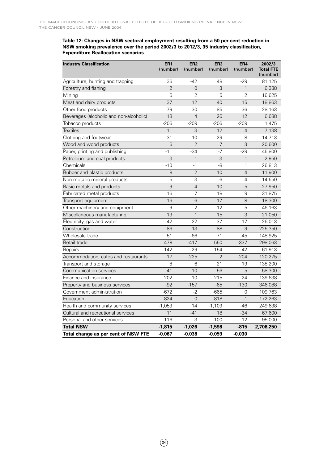#### **Table 12: Changes in NSW sectoral employment resulting from a 50 per cent reduction in NSW smoking prevalence over the period 2002/3 to 2012/3, 35 industry classification, Expenditure Reallocation scenarios**

| <b>Industry Classification</b>          | ER <sub>1</sub><br>(number) | ER <sub>2</sub><br>(number) | ER <sub>3</sub><br>(number) | ER4<br>(number) | 2002/3<br><b>Total FTE</b> |
|-----------------------------------------|-----------------------------|-----------------------------|-----------------------------|-----------------|----------------------------|
|                                         |                             |                             |                             |                 | (number)                   |
| Agriculture, hunting and trapping       | 36                          | $-42$                       | 48                          | $-29$           | 81,125                     |
| Forestry and fishing                    | $\overline{2}$              | $\overline{0}$              | 3                           | $\mathbf{1}$    | 6,388                      |
| Mining                                  | 5                           | 2                           | 5                           | 2               | 16,625                     |
| Meat and dairy products                 | 37                          | 12                          | 40                          | 15              | 18,863                     |
| Other food products                     | 79                          | 30                          | 85                          | 36              | 28,163                     |
| Beverages (alcoholic and non-alcoholic) | 18                          | $\overline{4}$              | 26                          | 12              | 6,688                      |
| Tobacco products                        | $-206$                      | $-209$                      | $-206$                      | $-209$          | 1,475                      |
| <b>Textiles</b>                         | 11                          | 3                           | 12                          | $\overline{4}$  | 7,138                      |
| Clothing and footwear                   | 31                          | 10                          | 29                          | 8               | 14,713                     |
| Wood and wood products                  | 6                           | $\overline{2}$              | $\overline{7}$              | 3               | 20,600                     |
| Paper, printing and publishing          | $-11$                       | $-34$                       | $-7$                        | $-29$           | 45,800                     |
| Petroleum and coal products             | 3                           | $\mathbf{1}$                | 3                           | $\mathbf{1}$    | 2,950                      |
| Chemicals                               | $-10$                       | $-1$                        | -8                          | 1               | 26,813                     |
| Rubber and plastic products             | 8                           | $\overline{2}$              | 10                          | 4               | 11,900                     |
| Non-metallic mineral products           | 5                           | 3                           | 6                           | 4               | 14,650                     |
| Basic metals and products               | 9                           | $\overline{4}$              | 10                          | 5               | 27,950                     |
| Fabricated metal products               | 16                          | 7                           | 18                          | 9               | 31,875                     |
| Transport equipment                     | 16                          | 6                           | 17                          | 8               | 18,300                     |
| Other machinery and equipment           | 9                           | $\overline{2}$              | 12                          | 5               | 46,163                     |
| Miscellaneous manufacturing             | 13                          | $\mathbf{1}$                | 15                          | 3               | 21,050                     |
| Electricity, gas and water              | 42                          | 22                          | 37                          | 17              | 26,013                     |
| Construction                            | $-86$                       | 13                          | $-88$                       | 9               | 225,350                    |
| Wholesale trade                         | 51                          | $-66$                       | 71                          | $-45$           | 148,925                    |
| Retail trade                            | 478                         | $-417$                      | 550                         | $-337$          | 298,063                    |
| Repairs                                 | 142                         | 29                          | 154                         | 42              | 61,913                     |
| Accommodation, cafes and restaurants    | $-17$                       | $-225$                      | $\overline{2}$              | $-204$          | 120,275                    |
| Transport and storage                   | 8                           | 6                           | 21                          | 19              | 138,200                    |
| Communication services                  | 41                          | $-10$                       | 56                          | 5               | 58,300                     |
| Finance and insurance                   | 202                         | 10                          | 215                         | 24              | 139,638                    |
| Property and business services          | $-92$                       | $-157$                      | $-65$                       | $-130$          | 346,088                    |
| Government administration               | $-672$                      | $-2$                        | $-665$                      | 0               | 109,763                    |
| Education                               | $-824$                      | $\overline{0}$              | $-818$                      | $-1$            | 172,263                    |
| Health and community services           | $-1,059$                    | 14                          | $-1,109$                    | $-46$           | 249,638                    |
| Cultural and recreational services      | 11                          | $-41$                       | 18                          | $-34$           | 67,600                     |
| Personal and other services             | $-116$                      | -3                          | $-100$                      | 12              | 95,000                     |
| <b>Total NSW</b>                        | $-1,815$                    | $-1,026$                    | $-1,598$                    | $-815$          | 2,706,250                  |
| Total change as per cent of NSW FTE     | $-0.067$                    | $-0.038$                    | $-0.059$                    | $-0.030$        |                            |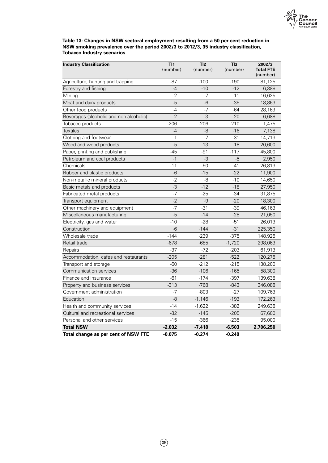

**Table 13: Changes in NSW sectoral employment resulting from a 50 per cent reduction in NSW smoking prevalence over the period 2002/3 to 2012/3, 35 industry classification, Tobacco Industry scenarios**

| <b>Industry Classification</b>          | TI1<br>(number) | TI2<br>(number) | TI3<br>(number) | 2002/3<br><b>Total FTE</b><br>(number) |
|-----------------------------------------|-----------------|-----------------|-----------------|----------------------------------------|
| Agriculture, hunting and trapping       | $-87$           | $-100$          | $-190$          | 81,125                                 |
| Forestry and fishing                    | $-4$            | $-10$           | $-12$           | 6,388                                  |
| Mining                                  | $-2$            | $-7$            | $-11$           | 16,625                                 |
| Meat and dairy products                 | $-5$            | $-6$            | $-35$           | 18,863                                 |
| Other food products                     | $-4$            | $-7$            | $-64$           | 28,163                                 |
| Beverages (alcoholic and non-alcoholic) | $-2$            | $-3$            | $-20$           | 6,688                                  |
| Tobacco products                        | $-206$          | $-206$          | $-210$          | 1,475                                  |
| <b>Textiles</b>                         | $-4$            | -8              | $-16$           | 7,138                                  |
| Clothing and footwear                   | $-1$            | $-7$            | $-31$           | 14,713                                 |
| Wood and wood products                  | $-5$            | $-13$           | $-18$           | 20,600                                 |
| Paper, printing and publishing          | $-45$           | $-91$           | $-117$          | 45,800                                 |
| Petroleum and coal products             | $-1$            | $-3$            | $-5$            | 2,950                                  |
| Chemicals                               | $-11$           | $-50$           | $-41$           | 26,813                                 |
| Rubber and plastic products             | $-6$            | $-15$           | $-22$           | 11,900                                 |
| Non-metallic mineral products           | $-2$            | -8              | $-10$           | 14,650                                 |
| Basic metals and products               | $-3$            | $-12$           | $-18$           | 27,950                                 |
| Fabricated metal products               | $-7$            | $-25$           | $-34$           | 31,875                                 |
| Transport equipment                     | $-2$            | $-9$            | $-20$           | 18,300                                 |
| Other machinery and equipment           | $-7$            | $-31$           | $-39$           | 46,163                                 |
| Miscellaneous manufacturing             | $-5$            | $-14$           | $-28$           | 21,050                                 |
| Electricity, gas and water              | $-10$           | $-28$           | $-51$           | 26,013                                 |
| Construction                            | $-6$            | $-144$          | $-31$           | 225,350                                |
| Wholesale trade                         | $-144$          | $-239$          | $-375$          | 148,925                                |
| Retail trade                            | $-678$          | $-685$          | $-1,720$        | 298,063                                |
| Repairs                                 | $-37$           | $-72$           | $-203$          | 61,913                                 |
| Accommodation, cafes and restaurants    | $-205$          | $-281$          | $-522$          | 120,275                                |
| Transport and storage                   | $-60$           | $-212$          | $-215$          | 138,200                                |
| Communication services                  | $-36$           | $-106$          | $-165$          | 58,300                                 |
| Finance and insurance                   | $-61$           | $-174$          | $-397$          | 139,638                                |
| Property and business services          | $-313$          | $-768$          | $-843$          | 346,088                                |
| Government administration               | $-7$            | $-803$          | $-27$           | 109,763                                |
| Education                               | -8              | $-1,146$        | $-193$          | 172,263                                |
| Health and community services           | $-14$           | $-1,622$        | $-382$          | 249,638                                |
| Cultural and recreational services      | $-32$           | $-145$          | $-205$          | 67,600                                 |
| Personal and other services             | $-15$           | $-366$          | $-235$          | 95,000                                 |
| <b>Total NSW</b>                        | $-2,032$        | $-7,418$        | $-6,503$        | 2,706,250                              |
| Total change as per cent of NSW FTE     | $-0.075$        | $-0.274$        | $-0.240$        |                                        |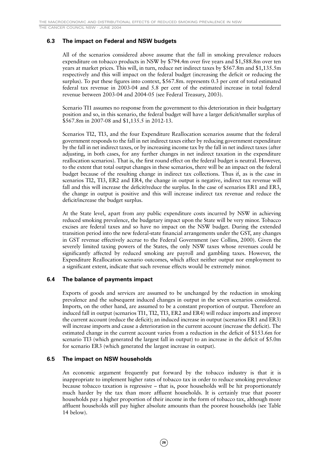THE CANCER COUNCIL NSW · JUNE 2004

### **6.3 The impact on Federal and NSW budgets**

All of the scenarios considered above assume that the fall in smoking prevalence reduces expenditure on tobacco products in NSW by \$794.4m over five years and \$1,588.8m over ten years at market prices. This will, in turn, reduce net indirect taxes by \$567.8m and \$1,135.5m respectively and this will impact on the federal budget (increasing the deficit or reducing the surplus). To put these figures into context, \$567.8m. represents 0.3 per cent of total estimated federal tax revenue in 2003-04 and 5.8 per cent of the estimated increase in total federal revenue between 2003-04 and 2004-05 (see Federal Treasury, 2003).

Scenario TI1 assumes no response from the government to this deterioration in their budgetary position and so, in this scenario, the federal budget will have a larger deficit/smaller surplus of \$567.8m in 2007-08 and \$1,135.5 in 2012-13.

Scenarios TI2, TI3, and the four Expenditure Reallocation scenarios assume that the federal government responds to the fall in net indirect taxes either by reducing government expenditure by the fall in net indirect taxes, or by increasing income tax by the fall in net indirect taxes (after adjusting, in both cases, for any further changes in net indirect taxation in the expenditure reallocation scenarios). That is, the first round effect on the federal budget is neutral. However, to the extent that total output changes in these scenarios, there will be an impact on the federal budget because of the resulting change in indirect tax collections. Thus if, as is the case in scenarios TI2, TI3, ER2 and ER4, the change in output is negative, indirect tax revenue will fall and this will increase the deficit/reduce the surplus. In the case of scenarios ER1 and ER3, the change in output is positive and this will increase indirect tax revenue and reduce the deficit/increase the budget surplus.

At the State level, apart from any public expenditure costs incurred by NSW in achieving reduced smoking prevalence, the budgetary impact upon the State will be very minor. Tobacco excises are federal taxes and so have no impact on the NSW budget. During the extended transition period into the new federal-state financial arrangements under the GST, any changes in GST revenue effectively accrue to the Federal Government (see Collins, 2000). Given the severely limited taxing powers of the States, the only NSW taxes whose revenues could be significantly affected by reduced smoking are payroll and gambling taxes. However, the Expenditure Reallocation scenario outcomes, which affect neither output nor employment to a significant extent, indicate that such revenue effects would be extremely minor.

### **6.4 The balance of payments impact**

Exports of goods and services are assumed to be unchanged by the reduction in smoking prevalence and the subsequent induced changes in output in the seven scenarios considered. Imports, on the other hand, are assumed to be a constant proportion of output. Therefore an induced fall in output (scenarios TI1, TI2, TI3, ER2 and ER4) will reduce imports and improve the current account (reduce the deficit); an induced increase in output (scenarios ER1 and ER3) will increase imports and cause a deterioration in the current account (increase the deficit). The estimated change in the current account varies from a reduction in the deficit of \$153.6m for scenario TI3 (which generated the largest fall in output) to an increase in the deficit of \$5.0m for scenario ER3 (which generated the largest increase in output).

### **6.5 The impact on NSW households**

An economic argument frequently put forward by the tobacco industry is that it is inappropriate to implement higher rates of tobacco tax in order to reduce smoking prevalence because tobacco taxation is regressive – that is, poor households will be hit proportionately much harder by the tax than more affluent households. It is certainly true that poorer households pay a higher proportion of their income in the form of tobacco tax, although more affluent households still pay higher absolute amounts than the poorest households (see Table 14 below).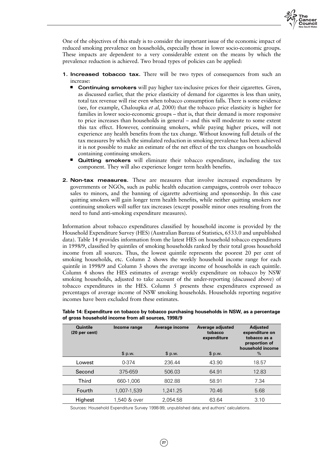

One of the objectives of this study is to consider the important issue of the economic impact of reduced smoking prevalence on households, especially those in lower socio-economic groups. These impacts are dependent to a very considerable extent on the means by which the prevalence reduction is achieved. Two broad types of policies can be applied:

- **1. Increased tobacco tax.** There will be two types of consequences from such an increase:
	- **Continuing smokers** will pay higher tax-inclusive prices for their cigarettes. Given, as discussed earlier, that the price elasticity of demand for cigarettes is less than unity, total tax revenue will rise even when tobacco consumption falls. There is some evidence (see, for example, Chaloupka *et al,* 2000) that the tobacco price elasticity is higher for families in lower socio-economic groups – that is, that their demand is more responsive to price increases than households in general – and this will moderate to some extent this tax effect. However, continuing smokers, while paying higher prices, will not experience any health benefits from the tax change. Without knowing full details of the tax measures by which the simulated reduction in smoking prevalence has been achieved it is not possible to make an estimate of the net effect of the tax changes on households containing continuing smokers.
	- **Quitting smokers** will eliminate their tobacco expenditure, including the tax component. They will also experience longer term health benefits.
- **2. Non-tax measures.** These are measures that involve increased expenditures by governments or NGOs, such as public health education campaigns, controls over tobacco sales to minors, and the banning of cigarette advertising and sponsorship. In this case quitting smokers will gain longer term health benefits, while neither quitting smokers nor continuing smokers will suffer tax increases (except possible minor ones resulting from the need to fund anti-smoking expenditure measures).

Information about tobacco expenditures classified by household income is provided by the Household Expenditure Survey (HES) (Australian Bureau of Statistics, 6533.0 and unpublished data). Table 14 provides information from the latest HES on household tobacco expenditures in 1998/9, classified by quintiles of smoking households ranked by their total gross household income from all sources. Thus, the lowest quintile represents the poorest 20 per cent of smoking households, etc. Column 2 shows the weekly household income range for each quintile in 1998/9 and Column 3 shows the average income of households in each quintile. Column 4 shows the HES estimates of average weekly expenditure on tobacco by NSW smoking households, adjusted to take account of the under-reporting (discussed above) of tobacco expenditures in the HES. Column 5 presents these expenditures expressed as percentages of average income of NSW smoking households. Households reporting negative incomes have been excluded from these estimates.

| <b>Quintile</b><br>(20 <sub>per</sub> cent) | Income range | Average income | Average adjusted<br>tobacco<br>expenditure | <b>Adjusted</b><br>expenditure on<br>tobacco as a<br>proportion of<br>household income |
|---------------------------------------------|--------------|----------------|--------------------------------------------|----------------------------------------------------------------------------------------|
|                                             | \$ p.w.      | \$ p.w.        | \$ p.w.                                    | $\%$                                                                                   |
| Lowest                                      | 0-374        | 236.44         | 43.90                                      | 18.57                                                                                  |
| Second                                      | 375-659      | 506.03         | 64.91                                      | 12.83                                                                                  |
| <b>Third</b>                                | 660-1,006    | 802.88         | 58.91                                      | 7.34                                                                                   |
| Fourth                                      | 1,007-1,539  | 1,241.25       | 70.46                                      | 5.68                                                                                   |
| Highest                                     | 1,540 & over | 2,054.58       | 63.64                                      | 3.10                                                                                   |

**Table 14: Expenditure on tobacco by tobacco purchasing households in NSW, as a percentage of gross household income from all sources, 1998/9**

Sources: Household Expenditure Survey 1998-99, unpublished data; and authors' calculations.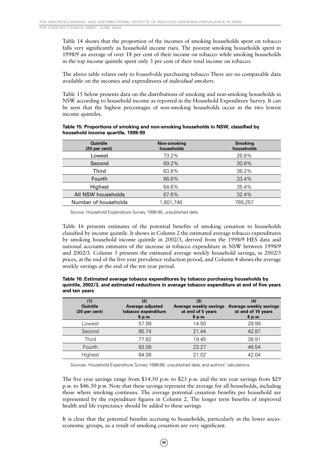Table 14 shows that the proportion of the incomes of smoking households spent on tobacco falls very significantly as household income rises. The poorest smoking households spent in 1998/9 an average of over 18 per cent of their income on tobacco while smoking households in the top income quintile spent only 3 per cent of their total income on tobacco.

The above table relates only to *households* purchasing tobacco There are no comparable data available on the incomes and expenditures of *individual smokers*.

Table 15 below presents data on the distributions of smoking and non-smoking households in NSW according to household income as reported in the Household Expenditure Survey. It can be seen that the highest percentages of non-smoking households occur in the two lowest income quintiles.

#### **Table 15: Proportions of smoking and non-smoking households in NSW, classified by household income quartile, 1998-99**

| Quintile<br>(20 <sub>per</sub> cent) | Non-smoking<br>households | <b>Smoking</b><br>households |
|--------------------------------------|---------------------------|------------------------------|
| Lowest                               | 73.2%                     | 26.8%                        |
| Second                               | 69.2%                     | 30.8%                        |
| <b>Third</b>                         | 63.8%                     | 36.2%                        |
| Fourth                               | 66.6%                     | 33.4%                        |
| Highest                              | 64.6%                     | 35.4%                        |
| All NSW households                   | 67.6%                     | 32.4%                        |
| Number of households                 | 1.601.746                 | 769.257                      |

Source: Household Expenditure Survey 1998-99, unpublished data.

Table 16 presents estimates of the potential benefits of smoking cessation to households classified by income quintile. It shows in Column 2 the estimated average tobacco expenditures by smoking household income quintile in 2002/3, derived from the 1998/9 HES data and national accounts estimates of the increase in tobacco expenditure in NSW between 1998/9 and 2002/3. Column 3 presents the estimated average weekly household savings, in 2002/3 prices, at the end of the five year prevalence reduction period, and Column 4 shows the average weekly savings at the end of the ten year period.

| Table 16: Estimated average tobacco expenditures by tobacco purchasing households by           |
|------------------------------------------------------------------------------------------------|
| guintile, 2002/3, and estimated reductions in average tobacco expenditure at end of five years |
| and ten vears                                                                                  |

| (1)<br><b>Quintile</b><br>(20 <sub>per</sub> cent) | (2)<br>Average adjusted<br>tobacco expenditure<br>\$ p.w. | (3)<br>Average weekly savings<br>at end of 5 years<br>\$ p.w. | (4)<br>Average weekly savings<br>at end of 10 years<br>\$ p.w. |
|----------------------------------------------------|-----------------------------------------------------------|---------------------------------------------------------------|----------------------------------------------------------------|
| Lowest                                             | 57.99                                                     | 14.50                                                         | 28.99                                                          |
| Second                                             | 85.74                                                     | 21.44                                                         | 42.87                                                          |
| Third                                              | 77.82                                                     | 19.45                                                         | 38.91                                                          |
| Fourth                                             | 93.08                                                     | 23.27                                                         | 46.54                                                          |
| Highest                                            | 84.08                                                     | 21.02                                                         | 42.04                                                          |

Sources: Household Expenditure Survey 1998-99, unpublished data; and authors' calculations.

The five year savings range from \$14.50 p.w. to \$23 p.w. and the ten year savings from \$29 p.w. to \$46.50 p.w. Note that these savings represent the average for all households, including those where smoking continues. The average potential cessation benefits per household are represented by the expenditure figures in Column 2. The longer term benefits of improved health and life expectancy should be added to these savings

It is clear that the potential benefits accruing to households, particularly in the lower socioeconomic groups, as a result of smoking cessation are very significant.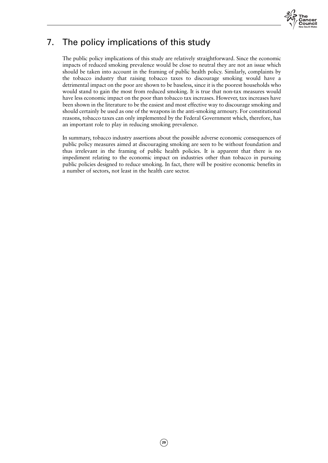

# 7. The policy implications of this study

The public policy implications of this study are relatively straightforward. Since the economic impacts of reduced smoking prevalence would be close to neutral they are not an issue which should be taken into account in the framing of public health policy. Similarly, complaints by the tobacco industry that raising tobacco taxes to discourage smoking would have a detrimental impact on the poor are shown to be baseless, since it is the poorest households who would stand to gain the most from reduced smoking. It is true that non-tax measures would have less economic impact on the poor than tobacco tax increases. However, tax increases have been shown in the literature to be the easiest and most effective way to discourage smoking and should certainly be used as one of the weapons in the anti-smoking armoury. For constitutional reasons, tobacco taxes can only implemented by the Federal Government which, therefore, has an important role to play in reducing smoking prevalence.

In summary, tobacco industry assertions about the possible adverse economic consequences of public policy measures aimed at discouraging smoking are seen to be without foundation and thus irrelevant in the framing of public health policies. It is apparent that there is no impediment relating to the economic impact on industries other than tobacco in pursuing public policies designed to reduce smoking. In fact, there will be positive economic benefits in a number of sectors, not least in the health care sector.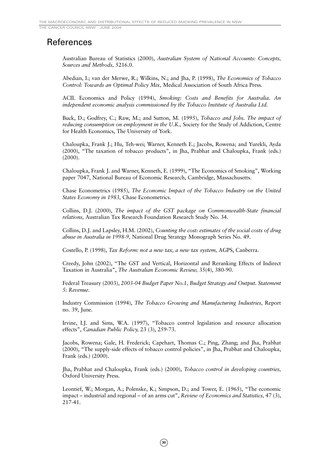# References

Australian Bureau of Statistics (2000), *Australian System of National Accounts: Concepts, Sources and Methods,* 5216.0.

Abedian, I.; van der Merwe, R.; Wilkins, N.; and Jha, P. (1998), *The Economics of Tobacco Control: Towards an Optimal Policy Mix,* Medical Association of South Africa Press.

ACIL Economics and Policy (1994), *Smoking: Costs and Benefits for Australia. An independent economic analysis commissioned by the Tobacco Institute of Australia Ltd.*

Buck, D.; Godfrey, C.; Raw, M.; and Sutton, M. (1995), *Tobacco and Jobs. The impact of reducing consumption on employment in the U.K.,* Society for the Study of Addiction, Centre for Health Economics, The University of York.

Chaloupka, Frank J.; Hu, Teh-wei; Warner, Kenneth E.; Jacobs, Rowena; and Yurekli, Ayda (2000), "The taxation of tobacco products", in Jha, Prabhat and Chaloupka, Frank (eds.) (2000).

Chaloupka, Frank J. and Warner, Kenneth, E. (1999), "The Economics of Smoking", Working paper 7047, National Bureau of Economic Research, Cambridge, Massachusetts.

Chase Econometrics (1985), *The Economic Impact of the Tobacco Industry on the United States Economy in 1983,* Chase Econometrics.

Collins, D.J. (2000), *The impact of the GST package on Commonwealth-State financial relations,* Australian Tax Research Foundation Research Study No. 34.

Collins, D.J. and Lapsley, H.M. (2002), *Counting the cost: estimates of the social costs of drug abuse in Australia in 1998-9,* National Drug Strategy Monograph Series No. 49.

Costello, P. (1998), *Tax Reform: not a new tax, a new tax system,* AGPS, Canberra.

Creedy, John (2002), "The GST and Vertical, Horizontal and Reranking Effects of Indirect Taxation in Australia", *The Australian Economic Review,* 35(4), 380-90.

Federal Treasury (2003), *2003-04 Budget Paper No.1, Budget Strategy and Output. Statement 5: Revenue.*

Industry Commission (1994), *The Tobacco Growing and Manufacturing Industries,* Report no. 39, June.

Irvine, I.J. and Sims, W.A. (1997), "Tobacco control legislation and resource allocation effects", *Canadian Public Policy,* 23 (3), 259-73.

Jacobs, Rowena; Gale, H. Frederick; Capehart, Thomas C.; Ping, Zhang; and Jha, Prabhat (2000), "The supply-side effects of tobacco control policies", in Jha, Prabhat and Chaloupka, Frank (eds.) (2000).

Jha, Prabhat and Chaloupka, Frank (eds.) (2000), *Tobacco control in developing countries,* Oxford University Press.

Leontief, W.; Morgan, A.; Polenske, K.; Simpson, D.; and Tower, E. (1965), "The economic impact – industrial and regional – of an arms cut", *Review of Economics and Statistics,* 47 (3), 217-41.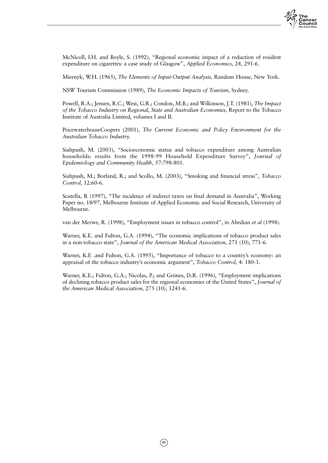

McNicoll, I.H. and Boyle, S. (1992), "Regional economic impact of a reduction of resident expenditure on cigarettes: a case study of Glasgow", *Applied Economics,* 24, 291-6.

Miernyk, W.H. (1965), *The Elements of Input-Output Analysis,* Random House, New York.

NSW Tourism Commission (1989), *The Economic Impacts of Tourism,* Sydney.

Powell, R.A.; Jensen, R.C.; West, G.R.; Condon, M.B.; and Wilkinson, J.T. (1981), *The Impact of the Tobacco Industry on Regional, State and Australian Economies,* Report to the Tobacco Institute of Australia Limited, volumes I and II.

PricewaterhouseCoopers (2001), *The Current Economic and Policy Environment for the Australian Tobacco Industry.*

Siahpush, M. (2003), "Socioeconomic status and tobacco expenditure among Australian households: results from the 1998-99 Household Expenditure Survey", *Journal of Epidemiology and Community Health,* 57:798-801.

Siahpush, M.; Borland, R.; and Scollo, M. (2003), "Smoking and financial stress", *Tobacco Control,* 12:60-6.

Scutella, R (1997), "The incidence of indirect taxes on final demand in Australia", Working Paper no. 18/97, Melbourne Institute of Applied Economic and Social Research, University of Melbourne.

van der Merwe, R. (1998), "Employment issues in tobacco control", in Abedian *et al* (1998).

Warner, K.E. and Fulton, G.A. (1994), "The economic implications of tobacco product sales in a non-tobacco state", *Journal of the American Medical Association,* 271 (10), 771-6.

Warner, K.E .and Fulton, G.A. (1995), "Importance of tobacco to a country's economy: an appraisal of the tobacco industry's economic argument", *Tobacco Control,* 4: 180-3.

Warner, K.E.; Fulton, G.A.; Nicolas, P.; and Grimes, D.R. (1996), "Employment implications of declining tobacco product sales for the regional economies of the United States", *Journal of the American Medical Association,* 275 (10), 1241-6.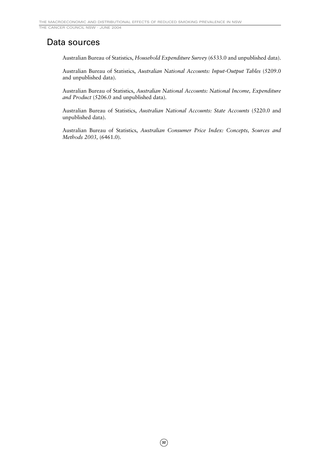# Data sources

Australian Bureau of Statistics, *Household Expenditure Survey* (6533.0 and unpublished data).

Australian Bureau of Statistics, *Australian National Accounts: Input-Output Tables* (5209.0 and unpublished data).

Australian Bureau of Statistics, *Australian National Accounts: National Income, Expenditure and Product* (5206.0 and unpublished data).

Australian Bureau of Statistics, *Australian National Accounts: State Accounts* (5220.0 and unpublished data).

Australian Bureau of Statistics, *Australian Consumer Price Index: Concepts, Sources and Methods 2003,* (6461.0).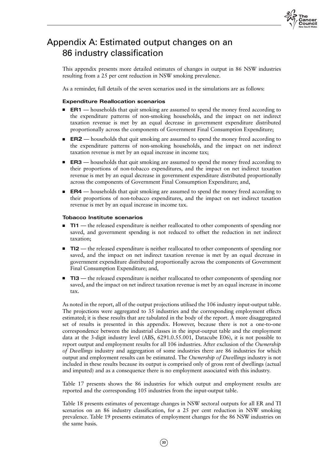

# Appendix A: Estimated output changes on an 86 industry classification

This appendix presents more detailed estimates of changes in output in 86 NSW industries resulting from a 25 per cent reduction in NSW smoking prevalence.

As a reminder, full details of the seven scenarios used in the simulations are as follows:

### **Expenditure Reallocation scenarios**

- **ER1** households that quit smoking are assumed to spend the money freed according to the expenditure patterns of non-smoking households, and the impact on net indirect taxation revenue is met by an equal decrease in government expenditure distributed proportionally across the components of Government Final Consumption Expenditure;
- **ER2** households that quit smoking are assumed to spend the money freed according to the expenditure patterns of non-smoking households, and the impact on net indirect taxation revenue is met by an equal increase in income tax;
- **ER3** households that quit smoking are assumed to spend the money freed according to their proportions of non-tobacco expenditures, and the impact on net indirect taxation revenue is met by an equal decrease in government expenditure distributed proportionally across the components of Government Final Consumption Expenditure; and,
- **ER4** households that quit smoking are assumed to spend the money freed according to their proportions of non-tobacco expenditures, and the impact on net indirect taxation revenue is met by an equal increase in income tax.

#### **Tobacco Institute scenarios**

- **TI1** the released expenditure is neither reallocated to other components of spending nor saved, and government spending is not reduced to offset the reduction in net indirect taxation;
- **TI2** the released expenditure is neither reallocated to other components of spending nor saved, and the impact on net indirect taxation revenue is met by an equal decrease in government expenditure distributed proportionally across the components of Government Final Consumption Expenditure; and,
- **TI3** the released expenditure is neither reallocated to other components of spending nor saved, and the impact on net indirect taxation revenue is met by an equal increase in income tax.

As noted in the report, all of the output projections utilised the 106 industry input-output table. The projections were aggregated to 35 industries and the corresponding employment effects estimated; it is these results that are tabulated in the body of the report. A more disaggregated set of results is presented in this appendix. However, because there is not a one-to-one correspondence between the industrial classes in the input-output table and the employment data at the 3-digit industry level (ABS, 6291.0.55.001, Datacube E06), it is not possible to report output and employment results for all 106 industries. After exclusion of the *Ownership of Dwellings* industry and aggregation of some industries there are 86 industries for which output and employment results can be estimated. The *Ownership of Dwellings* industry is not included in these results because its output is comprised only of gross rent of dwellings (actual and imputed) and as a consequence there is no employment associated with this industry.

Table 17 presents shows the 86 industries for which output and employment results are reported and the corresponding 105 industries from the input-output table.

Table 18 presents estimates of percentage changes in NSW sectoral outputs for all ER and TI scenarios on an 86 industry classification, for a 25 per cent reduction in NSW smoking prevalence. Table 19 presents estimates of employment changes for the 86 NSW industries on the same basis.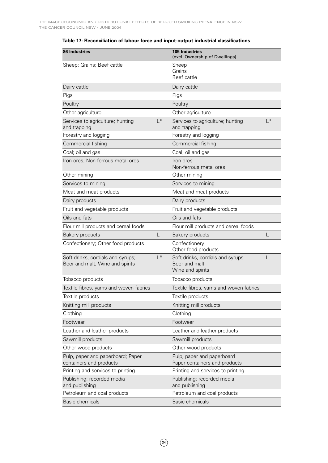### **Table 17: Reconciliation of labour force and input-output industrial classifications**

| <b>86 Industries</b>                                                 |                | <b>105 Industries</b><br>(excl. Ownership of Dwellings)               |           |
|----------------------------------------------------------------------|----------------|-----------------------------------------------------------------------|-----------|
| Sheep; Grains; Beef cattle                                           |                | Sheep<br>Grains<br>Beef cattle                                        |           |
| Dairy cattle                                                         |                | Dairy cattle                                                          |           |
| Pigs                                                                 |                | Pigs                                                                  |           |
| Poultry                                                              |                | Poultry                                                               |           |
| Other agriculture                                                    |                | Other agriculture                                                     |           |
| Services to agriculture; hunting<br>and trapping                     | $\vert$ *      | Services to agriculture; hunting<br>and trapping                      | $\vert$ * |
| Forestry and logging                                                 |                | Forestry and logging                                                  |           |
| Commercial fishing                                                   |                | Commercial fishing                                                    |           |
| Coal; oil and gas                                                    |                | Coal; oil and gas                                                     |           |
| Iron ores; Non-ferrous metal ores                                    |                | Iron ores<br>Non-ferrous metal ores                                   |           |
| Other mining                                                         |                | Other mining                                                          |           |
| Services to mining                                                   |                | Services to mining                                                    |           |
| Meat and meat products                                               |                | Meat and meat products                                                |           |
| Dairy products                                                       |                | Dairy products                                                        |           |
| Fruit and vegetable products                                         |                | Fruit and vegetable products                                          |           |
| Oils and fats                                                        |                | Oils and fats                                                         |           |
| Flour mill products and cereal foods                                 |                | Flour mill products and cereal foods                                  |           |
| <b>Bakery products</b>                                               | L              | <b>Bakery products</b>                                                | L         |
| Confectionery; Other food products                                   |                | Confectionery<br>Other food products                                  |           |
| Soft drinks, cordials and syrups;<br>Beer and malt; Wine and spirits | $\mathsf{I}^*$ | Soft drinks, cordials and syrups<br>Beer and malt<br>Wine and spirits |           |
| Tobacco products                                                     |                | Tobacco products                                                      |           |
| Textile fibres, yarns and woven fabrics                              |                | Textile fibres, yarns and woven fabrics                               |           |
| Textile products                                                     |                | Textile products                                                      |           |
| Knitting mill products                                               |                | Knitting mill products                                                |           |
| Clothing                                                             |                | Clothing                                                              |           |
| Footwear                                                             |                | Footwear                                                              |           |
| Leather and leather products                                         |                | Leather and leather products                                          |           |
| Sawmill products                                                     |                | Sawmill products                                                      |           |
| Other wood products                                                  |                | Other wood products                                                   |           |
| Pulp, paper and paperboard; Paper<br>containers and products         |                | Pulp, paper and paperboard<br>Paper containers and products           |           |
| Printing and services to printing                                    |                | Printing and services to printing                                     |           |
| Publishing; recorded media<br>and publishing                         |                | Publishing; recorded media<br>and publishing                          |           |
| Petroleum and coal products                                          |                | Petroleum and coal products                                           |           |
| <b>Basic chemicals</b>                                               |                | <b>Basic chemicals</b>                                                |           |

**34**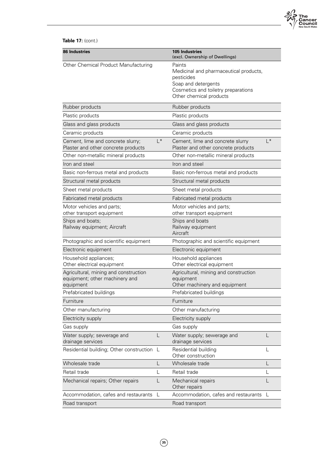

### **Table 17:** (cont.)

| <b>86 Industries</b>                                                                 |       | <b>105 Industries</b><br>(excl. Ownership of Dwellings)                                                                                                 |       |
|--------------------------------------------------------------------------------------|-------|---------------------------------------------------------------------------------------------------------------------------------------------------------|-------|
| Other Chemical Product Manufacturing                                                 |       | Paints<br>Medicinal and pharmaceutical products,<br>pesticides<br>Soap and detergents<br>Cosmetics and toiletry preparations<br>Other chemical products |       |
| Rubber products                                                                      |       | Rubber products                                                                                                                                         |       |
| Plastic products                                                                     |       | Plastic products                                                                                                                                        |       |
| Glass and glass products                                                             |       | Glass and glass products                                                                                                                                |       |
| Ceramic products                                                                     |       | Ceramic products                                                                                                                                        |       |
| Cement, lime and concrete slurry;<br>Plaster and other concrete products             | $L^*$ | Cement, lime and concrete slurry<br>Plaster and other concrete products                                                                                 | $L^*$ |
| Other non-metallic mineral products                                                  |       | Other non-metallic mineral products                                                                                                                     |       |
| Iron and steel                                                                       |       | Iron and steel                                                                                                                                          |       |
| Basic non-ferrous metal and products                                                 |       | Basic non-ferrous metal and products                                                                                                                    |       |
| Structural metal products                                                            |       | Structural metal products                                                                                                                               |       |
| Sheet metal products                                                                 |       | Sheet metal products                                                                                                                                    |       |
| Fabricated metal products                                                            |       | Fabricated metal products                                                                                                                               |       |
| Motor vehicles and parts;<br>other transport equipment                               |       | Motor vehicles and parts;<br>other transport equipment                                                                                                  |       |
| Ships and boats;<br>Railway equipment; Aircraft                                      |       | Ships and boats<br>Railway equipment<br>Aircraft                                                                                                        |       |
| Photographic and scientific equipment                                                |       | Photographic and scientific equipment                                                                                                                   |       |
| Electronic equipment                                                                 |       | Electronic equipment                                                                                                                                    |       |
| Household appliances;<br>Other electrical equipment                                  |       | Household appliances<br>Other electrical equipment                                                                                                      |       |
| Agricultural, mining and construction<br>equipment; other machinery and<br>equipment |       | Agricultural, mining and construction<br>equipment<br>Other machinery and equipment                                                                     |       |
| Prefabricated buildings                                                              |       | Prefabricated buildings                                                                                                                                 |       |
| Furniture                                                                            |       | Furniture                                                                                                                                               |       |
| Other manufacturing                                                                  |       | Other manufacturing                                                                                                                                     |       |
| Electricity supply                                                                   |       | Electricity supply                                                                                                                                      |       |
| Gas supply                                                                           |       | Gas supply                                                                                                                                              |       |
| Water supply; sewerage and<br>drainage services                                      | L     | Water supply; sewerage and<br>drainage services                                                                                                         |       |
| Residential building; Other construction                                             |       | Residential building<br>Other construction                                                                                                              | L     |
| Wholesale trade                                                                      | L     | Wholesale trade                                                                                                                                         |       |
| Retail trade                                                                         | L     | Retail trade                                                                                                                                            | L     |
| Mechanical repairs; Other repairs                                                    | L     | Mechanical repairs<br>Other repairs                                                                                                                     | L     |
| Accommodation, cafes and restaurants                                                 | L     | Accommodation, cafes and restaurants                                                                                                                    | L     |
| Road transport                                                                       |       | Road transport                                                                                                                                          |       |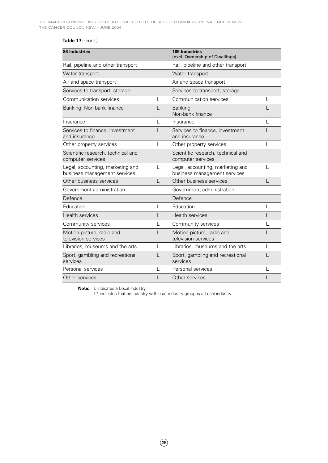### **Table 17:** (cont.)

| <b>86 Industries</b>                                             |   | <b>105 Industries</b><br>(excl. Ownership of Dwellings)          |   |
|------------------------------------------------------------------|---|------------------------------------------------------------------|---|
| Rail, pipeline and other transport                               |   | Rail, pipeline and other transport                               |   |
| Water transport                                                  |   | Water transport                                                  |   |
| Air and space transport                                          |   | Air and space transport                                          |   |
| Services to transport; storage                                   |   | Services to transport; storage                                   |   |
| Communication services                                           | L | Communication services                                           | L |
| Banking; Non-bank finance                                        |   | <b>Banking</b><br>Non-bank finance                               |   |
| Insurance                                                        | L | Insurance                                                        | L |
| Services to finance, investment<br>and insurance                 |   | Services to finance, investment<br>and insurance                 |   |
| Other property services                                          | L | Other property services                                          |   |
| Scientific research, technical and<br>computer services          |   | Scientific research, technical and<br>computer services          |   |
| Legal, accounting, marketing and<br>business management services | L | Legal, accounting, marketing and<br>business management services |   |
| Other business services                                          | L | Other business services                                          |   |
| Government administration                                        |   | Government administration                                        |   |
| Defence                                                          |   | Defence                                                          |   |
| Education                                                        | L | Education                                                        | L |
| Health services                                                  |   | <b>Health services</b>                                           |   |
| Community services                                               |   | Community services                                               |   |
| Motion picture, radio and<br>television services                 |   | Motion picture, radio and<br>television services                 |   |
| Libraries, museums and the arts                                  | L | Libraries, museums and the arts                                  | L |
| Sport, gambling and recreational<br>services                     |   | Sport, gambling and recreational<br>services                     |   |
| Personal services                                                |   | Personal services                                                |   |
| Other services                                                   |   | Other services                                                   |   |

**Note:** L indicates a Local industry

L<sup>\*</sup> indicates that an industry within an industry group is a Local industry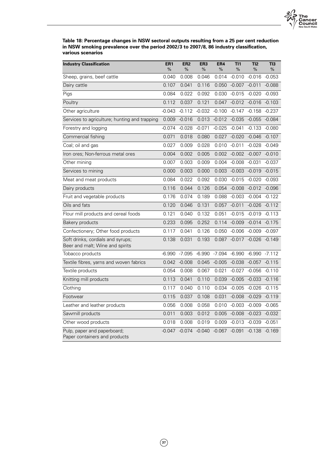

**Table 18: Percentage changes in NSW sectoral outputs resulting from a 25 per cent reduction in NSW smoking prevalence over the period 2002/3 to 2007/8, 86 industry classification, various scenarios**

| <b>Industry Classification</b>                                       | ER <sub>1</sub><br>% | ER <sub>2</sub><br>% | ER <sub>3</sub><br>% | ER4<br>% | TI1<br>% | TI2<br>% | TI3<br>% |
|----------------------------------------------------------------------|----------------------|----------------------|----------------------|----------|----------|----------|----------|
| Sheep, grains, beef cattle                                           | 0.040                | 0.008                | 0.046                | 0.014    | $-0.010$ | $-0.016$ | $-0.053$ |
| Dairy cattle                                                         | 0.107                | 0.041                | 0.116                | 0.050    | $-0.007$ | $-0.011$ | $-0.088$ |
| Pigs                                                                 | 0.084                | 0.022                | 0.092                | 0.030    | $-0.015$ | $-0.020$ | $-0.093$ |
| Poultry                                                              | 0.112                | 0.037                | 0.121                | 0.047    | $-0.012$ | $-0.016$ | $-0.103$ |
| Other agriculture                                                    | $-0.043$             | $-0.112$             | $-0.032$             | $-0.100$ | $-0.147$ | $-0.158$ | $-0.237$ |
| Services to agriculture; hunting and trapping                        | 0.009                | $-0.016$             | 0.013                | $-0.012$ | $-0.035$ | $-0.055$ | $-0.084$ |
| Forestry and logging                                                 | $-0.074$             | $-0.028$             | $-0.071$             | $-0.025$ | $-0.041$ | $-0.133$ | $-0.080$ |
| Commercial fishing                                                   | 0.071                | 0.018                | 0.080                | 0.027    | $-0.020$ | $-0.046$ | $-0.107$ |
| Coal; oil and gas                                                    | 0.027                | 0.009                | 0.028                | 0.010    | $-0.011$ | $-0.028$ | $-0.049$ |
| Iron ores; Non-ferrous metal ores                                    | 0.004                | 0.002                | 0.005                | 0.002    | $-0.002$ | $-0.007$ | $-0.010$ |
| Other mining                                                         | 0.007                | 0.003                | 0.009                | 0.004    | $-0.008$ | $-0.031$ | $-0.037$ |
| Services to mining                                                   | 0.000                | 0.003                | 0.000                | 0.003    | $-0.003$ | $-0.019$ | $-0.015$ |
| Meat and meat products                                               | 0.084                | 0.022                | 0.092                | 0.030    | $-0.015$ | $-0.020$ | $-0.093$ |
| Dairy products                                                       | 0.116                | 0.044                | 0.126                | 0.054    | $-0.008$ | $-0.012$ | $-0.096$ |
| Fruit and vegetable products                                         | 0.176                | 0.074                | 0.189                | 0.088    | $-0.003$ | $-0.004$ | $-0.122$ |
| Oils and fats                                                        | 0.120                | 0.046                | 0.131                | 0.057    | $-0.011$ | $-0.026$ | $-0.112$ |
| Flour mill products and cereal foods                                 | 0.121                | 0.040                | 0.132                | 0.051    | $-0.015$ | $-0.019$ | $-0.113$ |
| Bakery products                                                      | 0.233                | 0.095                | 0.252                | 0.114    | $-0.009$ | $-0.014$ | $-0.175$ |
| Confectionery; Other food products                                   | 0.117                | 0.041                | 0.126                | 0.050    | $-0.006$ | $-0.009$ | $-0.097$ |
| Soft drinks, cordials and syrups;<br>Beer and malt; Wine and spirits | 0.138                | 0.031                | 0.193                | 0.087    | $-0.017$ | $-0.026$ | $-0.149$ |
| Tobacco products                                                     | $-6.990$             | $-7.095$             | $-6.990$             | $-7.094$ | $-6.990$ | $-6.990$ | $-7.112$ |
| Textile fibres, yarns and woven fabrics                              | 0.042                | $-0.008$             | 0.045                | $-0.005$ | $-0.038$ | $-0.057$ | $-0.115$ |
| Textile products                                                     | 0.054                | 0.008                | 0.067                | 0.021    | $-0.027$ | $-0.056$ | $-0.110$ |
| Knitting mill products                                               | 0.113                | 0.041                | 0.110                | 0.039    | $-0.005$ | $-0.033$ | $-0.116$ |
| Clothing                                                             | 0.117                | 0.040                | 0.110                | 0.034    | $-0.005$ | $-0.026$ | $-0.115$ |
| Footwear                                                             | 0.115                | 0.037                | 0.108                | 0.031    | $-0.008$ | $-0.029$ | $-0.119$ |
| Leather and leather products                                         | 0.056                | 0.008                | 0.058                | 0.010    | $-0.003$ | $-0.009$ | $-0.065$ |
| Sawmill products                                                     | 0.011                | 0.003                | 0.012                | 0.005    | $-0.008$ | $-0.023$ | $-0.032$ |
| Other wood products                                                  | 0.018                | 0.008                | 0.019                | 0.009    | $-0.013$ | $-0.039$ | $-0.051$ |
| Pulp, paper and paperboard;<br>Paper containers and products         | $-0.047$             | $-0.074$             | $-0.040$             | $-0.067$ | $-0.091$ | $-0.138$ | $-0.169$ |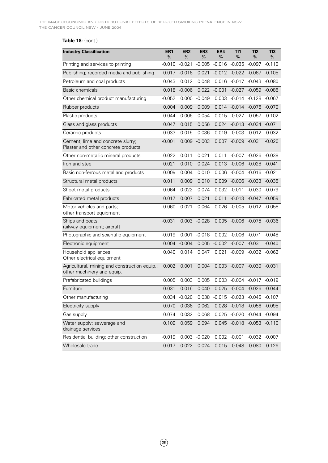### **Table 18:** (cont.)

| <b>Industry Classification</b>                                              | ER <sub>1</sub><br>% | ER <sub>2</sub><br>% | ER <sub>3</sub><br>% | ER4<br>% | T11<br>%                          | TI2<br>%                 | TI3<br>$\%$ |
|-----------------------------------------------------------------------------|----------------------|----------------------|----------------------|----------|-----------------------------------|--------------------------|-------------|
| Printing and services to printing                                           | $-0.010$             | $-0.021$             | $-0.005$             | $-0.016$ | $-0.035$                          | $-0.097$                 | $-0.110$    |
| Publishing; recorded media and publishing                                   | 0.017                | $-0.016$             | 0.021                |          | $-0.012 -0.022 -0.067$            |                          | $-0.105$    |
| Petroleum and coal products                                                 | 0.043                | 0.012                | 0.048                | 0.016    | $-0.017$                          | $-0.043$                 | $-0.080$    |
| Basic chemicals                                                             | 0.018                | $-0.006$             | 0.022                | $-0.001$ | $-0.027$                          | $-0.059$                 | $-0.086$    |
| Other chemical product manufacturing                                        | $-0.052$             | 0.000                | $-0.049$             | 0.003    | $-0.014$                          | $-0.128$                 | $-0.067$    |
| Rubber products                                                             | 0.004                | 0.009                | 0.009                |          | 0.014 -0.014 -0.076               |                          | $-0.070$    |
| Plastic products                                                            | 0.044                | 0.006                | 0.054                | 0.015    | -0.027                            | $-0.057$                 | $-0.102$    |
| Glass and glass products                                                    | 0.047                | 0.015                | 0.056                | 0.024    | $-0.013$                          | $-0.034$                 | $-0.071$    |
| Ceramic products                                                            | 0.033                | 0.015                | 0.036                | 0.019    | $-0.003$                          | $-0.012$                 | $-0.032$    |
| Cement, lime and concrete slurry;<br>Plaster and other concrete products    | $-0.001$             | 0.009                | $-0.003$             | 0.007    | $-0.009 - 0.031$                  |                          | $-0.020$    |
| Other non-metallic mineral products                                         | 0.022                | 0.011                | 0.021                | 0.011    | $-0.007$                          | $-0.026$                 | $-0.038$    |
| Iron and steel                                                              | 0.021                | 0.010                | 0.024                | 0.013    |                                   | $-0.006 -0.028$          | $-0.041$    |
| Basic non-ferrous metal and products                                        | 0.009                | 0.004                | 0.010                | 0.006    | $-0.004$                          | $-0.016$                 | $-0.021$    |
| Structural metal products                                                   | 0.011                | 0.009                | 0.010                | 0.009    |                                   | $-0.006 -0.033$          | $-0.035$    |
| Sheet metal products                                                        | 0.064                | 0.022                | 0.074                | 0.032    | $-0.011$                          | $-0.030$                 | $-0.079$    |
| Fabricated metal products                                                   | 0.017                | 0.007                | 0.021                | 0.011    | $-0.013$                          | $-0.047$                 | $-0.059$    |
| Motor vehicles and parts;<br>other transport equipment                      | 0.060                | 0.021                | 0.064                | 0.026    |                                   | $-0.005 -0.012 -0.058$   |             |
| Ships and boats;<br>railway equipment; aircraft                             | $-0.031$             | 0.003                | $-0.028$             | 0.005    | $-0.006 - 0.075$                  |                          | -0.036      |
| Photographic and scientific equipment                                       | $-0.019$             | 0.001                | $-0.018$             | 0.002    | $-0.006$                          | -0.071                   | $-0.048$    |
| Electronic equipment                                                        | 0.004                | $-0.004$             | 0.005                | $-0.002$ | $-0.007$                          | $-0.031$                 | $-0.040$    |
| Household appliances:<br>Other electrical equipment                         | 0.040                | 0.014                | 0.047                | 0.021    | $-0.009$                          | $-0.032$                 | $-0.062$    |
| Agricultural, mining and construction equip.;<br>other machinery and equip. | 0.002                | 0.001                | 0.004                | 0.003    | $-0.007 -0.030$                   |                          | $-0.031$    |
| Prefabricated buildings                                                     | 0.005                | 0.003                | 0.005                | 0.003    | $-0.004 -0.017$                   |                          | $-0.019$    |
| Furniture                                                                   | 0.031                | 0.016                | 0.040                |          | 0.025 -0.004 -0.026               |                          | $-0.044$    |
| Other manufacturing                                                         | 0.034                | $-0.020$             |                      |          | 0.038 -0.015 -0.023 -0.046 -0.107 |                          |             |
| Electricity supply                                                          | 0.070                | 0.036                | 0.062                |          | 0.028 -0.018 -0.056 -0.095        |                          |             |
| Gas supply                                                                  | 0.074                | 0.032                | 0.068                | 0.025    | $-0.020$                          | $-0.044$ $-0.094$        |             |
| Water supply; sewerage and<br>drainage services                             | 0.109                | 0.059                | 0.094                | 0.045    |                                   | $-0.018 - 0.053 - 0.110$ |             |
| Residential building; other construction                                    | $-0.019$             | 0.003                | $-0.020$             |          | $0.002 -0.001$                    | $-0.032$                 | $-0.007$    |
| Wholesale trade                                                             | 0.017                | $-0.022$             | 0.024                |          | $-0.015 -0.048 -0.080$            |                          | $-0.126$    |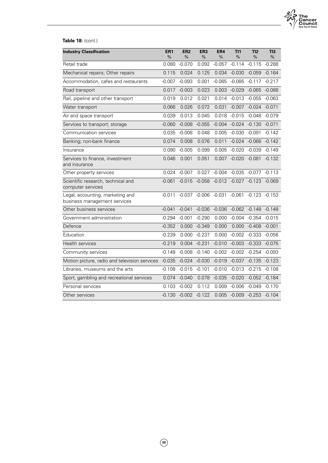

### **Table 18:** (cont.)

| <b>Industry Classification</b>                                   | ER <sub>1</sub><br>% | ER <sub>2</sub><br>% | ER <sub>3</sub><br>%     | ER4<br>% | T11<br>%          | TI2<br>% | TI3<br>% |
|------------------------------------------------------------------|----------------------|----------------------|--------------------------|----------|-------------------|----------|----------|
| Retail trade                                                     | 0.080                | $-0.070$             | 0.092                    | $-0.057$ | $-0.114$          | $-0.115$ | $-0.288$ |
| Mechanical repairs; Other repairs                                | 0.115                | 0.024                | 0.125                    | 0.034    | $-0.030$          | $-0.059$ | $-0.164$ |
| Accommodation, cafes and restaurants                             | $-0.007$             | $-0.093$             | 0.001                    | $-0.085$ | $-0.085$          | $-0.117$ | $-0.217$ |
| Road transport                                                   | 0.017                | $-0.003$             | 0.023                    | 0.003    | $-0.029$          | $-0.065$ | $-0.088$ |
| Rail, pipeline and other transport                               | 0.019                | 0.012                | 0.021                    | 0.014    | $-0.013$          | $-0.055$ | $-0.063$ |
| Water transport                                                  | 0.066                | 0.026                | 0.072                    | 0.031    | $-0.007$          | $-0.024$ | $-0.071$ |
| Air and space transport                                          | 0.039                | 0.013                | 0.045                    | 0.018    | $-0.015$          | $-0.048$ | $-0.079$ |
| Services to transport; storage                                   | $-0.060$             | $-0.008$             | $-0.055$                 | $-0.004$ | $-0.024$          | $-0.130$ | $-0.071$ |
| Communication services                                           | 0.035                | $-0.008$             | 0.048                    | 0.005    | $-0.030$          | $-0.091$ | $-0.142$ |
| Banking; non-bank finance                                        | 0.074                | 0.008                | 0.076                    | 0.011    | $-0.024$          | $-0.066$ | $-0.142$ |
| Insurance                                                        | 0.090                | $-0.005$             | 0.099                    | 0.005    | $-0.020$          | -0.039   | $-0.149$ |
| Services to finance, investment<br>and insurance                 | 0.046                | 0.001                | 0.051                    | 0.007    | $-0.020$          | $-0.081$ | $-0.132$ |
| Other property services                                          | 0.024                | $-0.007$             | 0.027                    | $-0.004$ | $-0.035$          | $-0.077$ | $-0.113$ |
| Scientific research, technical and<br>computer services          | $-0.061$             | $-0.015$             | $-0.058$                 | $-0.012$ | $-0.027$          | $-0.123$ | $-0.069$ |
| Legal, accounting, marketing and<br>business management services | $-0.011$             |                      | $-0.037 - 0.006 - 0.031$ |          | $-0.061 - 0.123$  |          | $-0.153$ |
| Other business services                                          | $-0.041$             | $-0.041$             | $-0.036$                 | $-0.036$ | $-0.062 -0.148$   |          | $-0.148$ |
| Government administration                                        | $-0.294$             | $-0.001$             | $-0.290$                 | 0.000    | $-0.004$ $-0.354$ |          | $-0.015$ |
| Defence                                                          | $-0.352$             |                      | $0.000 -0.349$           | 0.000    | 0.000             | $-0.408$ | $-0.001$ |
| Education                                                        | $-0.239$             | 0.000                | $-0.237$                 | 0.000    | $-0.002$          | $-0.333$ | $-0.056$ |
| <b>Health services</b>                                           | $-0.219$             | 0.004                | $-0.231$                 | $-0.010$ | $-0.003$          | $-0.333$ | $-0.075$ |
| Community services                                               | $-0.148$             | $-0.008$             | $-0.140$                 | $-0.002$ | $-0.002 -0.254$   |          | $-0.093$ |
| Motion picture, radio and television services                    | $-0.035$             | $-0.024$             | $-0.030$                 | $-0.019$ | $-0.037$          | $-0.135$ | $-0.123$ |
| Libraries, museums and the arts                                  | $-0.108$             | $-0.015$             | $-0.101$                 | $-0.010$ | $-0.013$          | $-0.215$ | $-0.108$ |
| Sport, gambling and recreational services                        | 0.074                | $-0.040$             | 0.078                    | $-0.035$ | $-0.020$          | $-0.052$ | $-0.184$ |
| Personal services                                                | 0.103                | $-0.002$             | 0.112                    | 0.009    | $-0.006$          | $-0.049$ | $-0.170$ |
| Other services                                                   | $-0.130$             | $-0.002 -0.122$      |                          | 0.005    | $-0.009 - 0.253$  |          | $-0.104$ |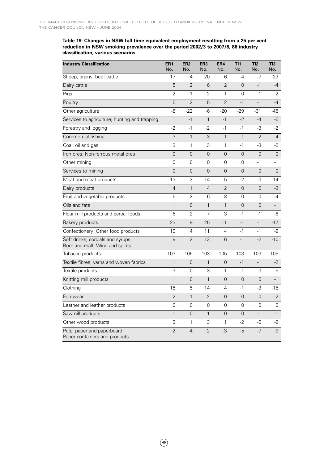#### **Table 19: Changes in NSW full time equivalent employment resulting from a 25 per cent reduction in NSW smoking prevalence over the period 2002/3 to 2007/8, 86 industry classification, various scenarios**

| <b>Industry Classification</b>                                       | ER <sub>1</sub><br>No. | ER <sub>2</sub><br>No. | ER <sub>3</sub><br>No. | ER4<br>No.     | TI1<br>No.     | TI2<br>No.     | TI3<br>No.     |
|----------------------------------------------------------------------|------------------------|------------------------|------------------------|----------------|----------------|----------------|----------------|
| Sheep, grains, beef cattle                                           | 17                     | 4                      | 20                     | 6              | $-4$           | $-7$           | $-23$          |
| Dairy cattle                                                         | 5                      | $\overline{2}$         | 6                      | $\overline{2}$ | $\Omega$       | $-1$           | $-4$           |
| Pigs                                                                 | 2                      | 1                      | 2                      | $\mathbf{1}$   | 0              | $-1$           | $-2$           |
| Poultry                                                              | 5                      | $\overline{2}$         | 5                      | $\overline{2}$ | $-1$           | $-1$           | $-4$           |
| Other agriculture                                                    | -8                     | $-22$                  | $-6$                   | $-20$          | $-29$          | $-31$          | -46            |
| Services to agriculture; hunting and trapping                        | $\mathbf{1}$           | $-1$                   | $\mathbf{1}$           | $-1$           | $-2$           | $-4$           | -6             |
| Forestry and logging                                                 | $-2$                   | $-1$                   | $-2$                   | $-1$           | $-1$           | -3             | $-2$           |
| Commercial fishing                                                   | 3                      | $\mathbf{1}$           | 3                      | $\mathbf{1}$   | $-1$           | $-2$           | $-4$           |
| Coal; oil and gas                                                    | 3                      | 1                      | 3                      | $\mathbf{1}$   | $-1$           | -3             | $-5$           |
| Iron ores; Non-ferrous metal ores                                    | $\overline{0}$         | $\overline{0}$         | 0                      | $\overline{0}$ | $\overline{0}$ | $\overline{0}$ | $\overline{0}$ |
| Other mining                                                         | 0                      | 0                      | 0                      | 0              | 0              | $-1$           | $-1$           |
| Services to mining                                                   | $\Omega$               | $\Omega$               | $\Omega$               | $\Omega$       | $\Omega$       | $\Omega$       | $\overline{0}$ |
| Meat and meat products                                               | 13                     | 3                      | 14                     | 5              | $-2$           | -3             | $-14$          |
| Dairy products                                                       | $\overline{4}$         | $\mathbf{1}$           | $\overline{4}$         | $\overline{2}$ | $\overline{0}$ | $\overline{0}$ | $-3$           |
| Fruit and vegetable products                                         | 6                      | $\overline{2}$         | 6                      | 3              | 0              | 0              | $-4$           |
| Oils and fats                                                        | $\mathbf{1}$           | $\overline{0}$         | $\mathbf{1}$           | $\mathbf{1}$   | $\overline{0}$ | 0              | $-1$           |
| Flour mill products and cereal foods                                 | 6                      | 2                      | 7                      | 3              | $-1$           | $-1$           | -6             |
| Bakery products                                                      | 23                     | 9                      | 25                     | 11             | $-1$           | $-1$           | $-17$          |
| Confectionery; Other food products                                   | 10                     | 4                      | 11                     | 4              | $-1$           | $-1$           | -9             |
| Soft drinks, cordials and syrups;<br>Beer and malt; Wine and spirits | 9                      | $\overline{2}$         | 13                     | 6              | $-1$           | $-2$           | $-10$          |
| Tobacco products                                                     | $-103$                 | $-105$                 | $-103$                 | $-105$         | $-103$         | $-103$         | $-105$         |
| Textile fibres, yarns and woven fabrics                              | $\mathbf{1}$           | $\Omega$               | $\mathbf{1}$           | $\overline{0}$ | $-1$           | $-1$           | $-2$           |
| Textile products                                                     | 3                      | 0                      | 3                      | $\mathbf{1}$   | $-1$           | -3             | -5             |
| Knitting mill products                                               | 1                      | $\overline{0}$         | $\mathbf{1}$           | $\overline{0}$ | $\mathbf 0$    | 0              | $-1$           |
| Clothing                                                             | 15                     | 5                      | 14                     | 4              | $-1$           | -3             | $-15$          |
| Footwear                                                             | $\overline{2}$         | $\mathbf{1}$           | $\overline{2}$         | $\Omega$       | $\overline{0}$ | $\Omega$       | $-2$           |
| Leather and leather products                                         | $\Omega$               | $\Omega$               | $\overline{0}$         | $\Omega$       | $\Omega$       | $\Omega$       | 0              |
| Sawmill products                                                     | $\mathbf{1}$           | $\overline{0}$         | $\mathbf{1}$           | $\overline{0}$ | $\overline{0}$ | $-1$           | $-1$           |
| Other wood products                                                  | 3                      | 1                      | 3                      | 1              | $-2$           | -6             | -8             |
| Pulp, paper and paperboard;<br>Paper containers and products         | $-2$                   | $-4$                   | $-2$                   | -3             | $-5$           | $-7$           | $-9$           |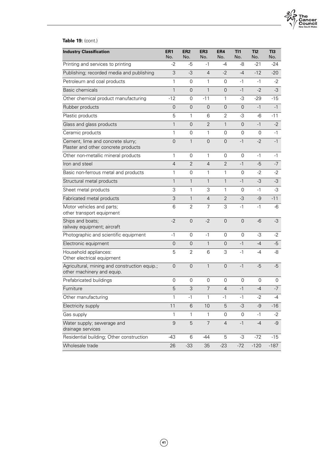

### **Table 19:** (cont.)

| <b>Industry Classification</b>                                              | ER <sub>1</sub><br>No. | ER <sub>2</sub><br>No. | ER <sub>3</sub><br>No. | ER4<br>No.     | TI1<br>No.     | TI2<br>No. | TI3<br>No. |
|-----------------------------------------------------------------------------|------------------------|------------------------|------------------------|----------------|----------------|------------|------------|
| Printing and services to printing                                           | $-2$                   | -5                     | $-1$                   | -4             | -8             | $-21$      | -24        |
| Publishing; recorded media and publishing                                   | 3                      | $-3$                   | 4                      | $-2$           | $-4$           | $-12$      | $-20$      |
| Petroleum and coal products                                                 | 1                      | $\mathbf 0$            | $\mathbf{1}$           | $\mathbf 0$    | $-1$           | $-1$       | $-2$       |
| Basic chemicals                                                             | 1                      | $\overline{0}$         | $\mathbf{1}$           | $\overline{0}$ | $-1$           | $-2$       | $-3$       |
| Other chemical product manufacturing                                        | $-12$                  | $\overline{0}$         | $-11$                  | 1              | -3             | $-29$      | $-15$      |
| Rubber products                                                             | $\mathbf 0$            | $\mathsf{O}\xspace$    | $\overline{0}$         | $\overline{0}$ | $\overline{0}$ | $-1$       | $-1$       |
| Plastic products                                                            | 5                      | 1                      | 6                      | $\overline{2}$ | -3             | $-6$       | $-11$      |
| Glass and glass products                                                    | $\mathbf{1}$           | $\Omega$               | $\overline{2}$         | $\mathbf{1}$   | $\Omega$       | $-1$       | $-2$       |
| Ceramic products                                                            | 1                      | $\overline{0}$         | 1                      | $\overline{0}$ | $\overline{0}$ | 0          | $-1$       |
| Cement, lime and concrete slurry;<br>Plaster and other concrete products    | $\overline{0}$         | $\mathbf{1}$           | $\overline{0}$         | $\Omega$       | $-1$           | $-2$       | $-1$       |
| Other non-metallic mineral products                                         | 1                      | $\overline{0}$         | $\mathbf{1}$           | $\mathbf 0$    | $\Omega$       | $-1$       | $-1$       |
| Iron and steel                                                              | $\overline{4}$         | $\overline{2}$         | $\overline{4}$         | $\overline{2}$ | $-1$           | $-5$       | $-7$       |
| Basic non-ferrous metal and products                                        | 1                      | 0                      | 1                      | 1              | 0              | $-2$       | $-2$       |
| Structural metal products                                                   | $\mathbf{1}$           | $\mathbf{1}$           | $\mathbf{1}$           | $\mathbf{1}$   | $-1$           | $-3$       | $-3$       |
| Sheet metal products                                                        | 3                      | 1                      | 3                      | 1              | 0              | $-1$       | -3         |
| Fabricated metal products                                                   | 3                      | $\mathbf{1}$           | $\overline{4}$         | $\overline{2}$ | $-3$           | $-9$       | $-11$      |
| Motor vehicles and parts;<br>other transport equipment                      | 6                      | $\overline{2}$         | $\overline{7}$         | 3              | $-1$           | $-1$       | -6         |
| Ships and boats;<br>railway equipment; aircraft                             | $-2$                   | $\overline{0}$         | $-2$                   | $\Omega$       | $\Omega$       | $-6$       | $-3$       |
| Photographic and scientific equipment                                       | $-1$                   | $\overline{0}$         | $-1$                   | $\Omega$       | $\overline{0}$ | -3         | $-2$       |
| Electronic equipment                                                        | $\overline{0}$         | $\overline{0}$         | $\mathbf{1}$           | $\Omega$       | $-1$           | $-4$       | $-5$       |
| Household appliances:<br>Other electrical equipment                         | 5                      | $\overline{2}$         | 6                      | 3              | $-1$           | -4         | -8         |
| Agricultural, mining and construction equip.;<br>other machinery and equip. | $\overline{0}$         | $\mathbf 0$            | $\mathbf{1}$           | $\mathbf 0$    | $-1$           | $-5$       | $-5$       |
| Prefabricated buildings                                                     | 0                      | $\overline{0}$         | 0                      | $\overline{0}$ | 0              | 0          | 0          |
| Furniture                                                                   | 5                      | 3                      | $\overline{7}$         | $\overline{4}$ | $-1$           | $-4$       | $-7$       |
| Other manufacturing                                                         | 1                      | -1                     | 1                      | -1             | $-1$           | $-2$       | -4         |
| Electricity supply                                                          | 11                     | $\,6$                  | 10                     | 5              | $-3$           | $-9$       | $-16$      |
| Gas supply                                                                  | 1                      | 1                      | $\mathbf{1}$           | 0              | 0              | $-1$       | -2         |
| Water supply; sewerage and<br>drainage services                             | 9                      | 5                      | $\overline{7}$         | $\overline{4}$ | $-1$           | $-4$       | $-9$       |
| Residential building; Other construction                                    | $-43$                  | 6                      | $-44$                  | 5              | -3             | $-72$      | $-15$      |
| Wholesale trade                                                             | 26                     | $-33$                  | 35                     | $-23$          | $-72$          | $-120$     | $-187$     |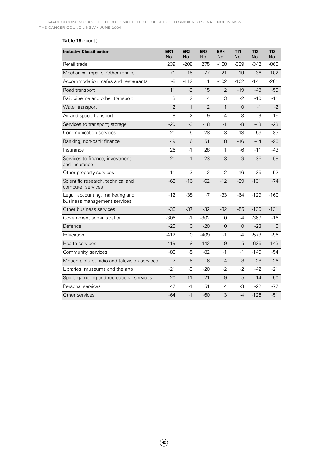### **Table 19:** (cont.)

| <b>Industry Classification</b>                                   | ER <sub>1</sub><br>No. | ER <sub>2</sub><br>No. | ER <sub>3</sub><br>No. | ER4<br>No.     | TI1<br>No.     | TI2<br>No. | TI3<br>No. |
|------------------------------------------------------------------|------------------------|------------------------|------------------------|----------------|----------------|------------|------------|
| Retail trade                                                     | 239                    | $-208$                 | 275                    | $-168$         | $-339$         | $-342$     | $-860$     |
| Mechanical repairs; Other repairs                                | 71                     | 15                     | 77                     | 21             | $-19$          | $-36$      | $-102$     |
| Accommodation, cafes and restaurants                             | -8                     | $-112$                 | 1                      | $-102$         | $-102$         | $-141$     | $-261$     |
| Road transport                                                   | 11                     | $-2$                   | 15                     | $\overline{2}$ | $-19$          | $-43$      | $-59$      |
| Rail, pipeline and other transport                               | 3                      | $\overline{2}$         | 4                      | 3              | $-2$           | $-10$      | $-11$      |
| Water transport                                                  | $\overline{2}$         | $\mathbf{1}$           | $\overline{2}$         | $\mathbf{1}$   | $\overline{0}$ | $-1$       | $-2$       |
| Air and space transport                                          | 8                      | $\overline{2}$         | 9                      | 4              | -3             | $-9$       | $-15$      |
| Services to transport; storage                                   | $-20$                  | $-3$                   | $-18$                  | $-1$           | $-8$           | $-43$      | $-23$      |
| Communication services                                           | 21                     | -5                     | 28                     | 3              | $-18$          | $-53$      | -83        |
| Banking; non-bank finance                                        | 49                     | 6                      | 51                     | 8              | $-16$          | $-44$      | -95        |
| Insurance                                                        | 26                     | $-1$                   | 28                     | $\mathbf{1}$   | $-6$           | $-11$      | $-43$      |
| Services to finance, investment<br>and insurance                 | 21                     | $\mathbf{1}$           | 23                     | 3              | $-9$           | $-36$      | -59        |
| Other property services                                          | 11                     | -3                     | 12                     | $-2$           | $-16$          | $-35$      | $-52$      |
| Scientific research, technical and<br>computer services          | $-65$                  | $-16$                  | $-62$                  | $-12$          | $-29$          | $-131$     | $-74$      |
| Legal, accounting, marketing and<br>business management services | $-12$                  | $-38$                  | $-7$                   | $-33$          | $-64$          | $-129$     | $-160$     |
| Other business services                                          | $-36$                  | $-37$                  | $-32$                  | $-32$          | $-55$          | $-130$     | $-131$     |
| Government administration                                        | $-306$                 | $-1$                   | $-302$                 | $\overline{0}$ | $-4$           | $-369$     | $-16$      |
| Defence                                                          | $-20$                  | $\overline{0}$         | $-20$                  | $\overline{0}$ | $\Omega$       | $-23$      | $\Omega$   |
| Education                                                        | $-412$                 | $\overline{0}$         | $-409$                 | $-1$           | $-4$           | $-573$     | $-96$      |
| <b>Health services</b>                                           | $-419$                 | 8                      | $-442$                 | $-19$          | $-5$           | $-636$     | $-143$     |
| Community services                                               | -86                    | $-5$                   | $-82$                  | $-1$           | $-1$           | $-149$     | -54        |
| Motion picture, radio and television services                    | $-7$                   | $-5$                   | $-6$                   | $-4$           | -8             | $-28$      | $-26$      |
| Libraries, museums and the arts                                  | $-21$                  | -3                     | $-20$                  | $-2$           | $-2$           | $-42$      | $-21$      |
| Sport, gambling and recreational services                        | 20                     | $-11$                  | 21                     | $-9$           | $-5$           | $-14$      | $-50$      |
| Personal services                                                | 47                     | $-1$                   | 51                     | $\overline{4}$ | -3             | $-22$      | $-77$      |
| Other services                                                   | $-64$                  | $-1$                   | $-60$                  | 3              | $-4$           | $-125$     | $-51$      |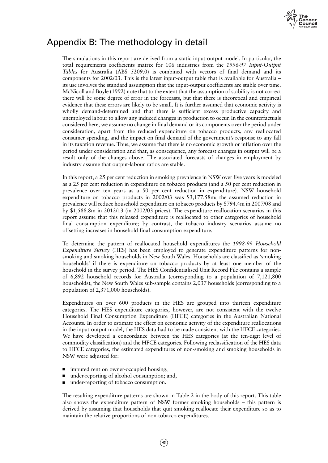

# Appendix B: The methodology in detail

The simulations in this report are derived from a static input-output model. In particular, the total requirements coefficients matrix for 106 industries from the *1996-97 Input-Output Tables* for Australia (ABS 5209.0) is combined with vectors of final demand and its components for 2002/03. This is the latest input-output table that is available for Australia – its use involves the standard assumption that the input-output coefficients are stable over time. McNicoll and Boyle (1992) note that to the extent that the assumption of stability is not correct there will be some degree of error in the forecasts, but that there is theoretical and empirical evidence that these errors are likely to be small. It is further assumed that economic activity is wholly demand-determined and that there is sufficient excess productive capacity and unemployed labour to allow any induced changes in production to occur. In the counterfactuals considered here, we assume no change in final demand or its components over the period under consideration, apart from the reduced expenditure on tobacco products, any reallocated consumer spending, and the impact on final demand of the government's response to any fall in its taxation revenue. Thus, we assume that there is no economic growth or inflation over the period under consideration and that, as consequence, any forecast changes in output will be a result only of the changes above. The associated forecasts of changes in employment by industry assume that output-labour ratios are stable.

In this report, a 25 per cent reduction in smoking prevalence in NSW over five years is modeled as a 25 per cent reduction in expenditure on tobacco products (and a 50 per cent reduction in prevalence over ten years as a 50 per cent reduction in expenditure). NSW household expenditure on tobacco products in 2002/03 was \$3,177.58m; the assumed reduction in prevalence will reduce household expenditure on tobacco products by \$794.4m in 2007/08 and by \$1,588.8m in 2012/13 (in 2002/03 prices). The expenditure reallocation scenarios in this report assume that this released expenditure is reallocated to other categories of household final consumption expenditure; by contrast, the tobacco industry scenarios assume no offsetting increases in household final consumption expenditure.

To determine the pattern of reallocated household expenditures the *1998-99 Household Expenditure Survey* (HES) has been employed to generate expenditure patterns for nonsmoking and smoking households in New South Wales. Households are classified as 'smoking households' if there is expenditure on tobacco products by at least one member of the household in the survey period. The HES Confidentialised Unit Record File contains a sample of 6,892 household records for Australia (corresponding to a population of 7,121,800 households); the New South Wales sub-sample contains 2,037 households (corresponding to a population of 2,371,000 households).

Expenditures on over 600 products in the HES are grouped into thirteen expenditure categories. The HES expenditure categories, however, are not consistent with the twelve Household Final Consumption Expenditure (HFCE) categories in the Australian National Accounts. In order to estimate the effect on economic activity of the expenditure reallocations in the input-output model, the HES data had to be made consistent with the HFCE categories. We have developed a concordance between the HES categories (at the ten-digit level of commodity classification) and the HFCE categories. Following reclassification of the HES data to HFCE categories, the estimated expenditures of non-smoking and smoking households in NSW were adjusted for:

- imputed rent on owner-occupied housing;
- under-reporting of alcohol consumption; and,
- under-reporting of tobacco consumption.

The resulting expenditure patterns are shown in Table 2 in the body of this report. This table also shows the expenditure pattern of NSW former smoking households – this pattern is derived by assuming that households that quit smoking reallocate their expenditure so as to maintain the relative proportions of non-tobacco expenditures.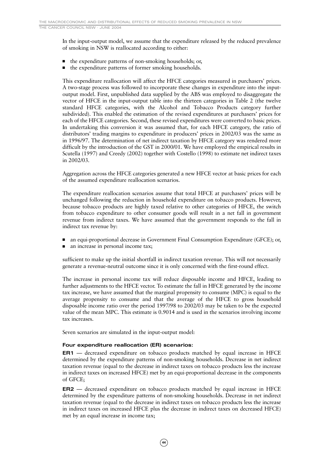In the input-output model, we assume that the expenditure released by the reduced prevalence of smoking in NSW is reallocated according to either:

- the expenditure patterns of non-smoking households; or,
- the expenditure patterns of former smoking households.

This expenditure reallocation will affect the HFCE categories measured in purchasers' prices. A two-stage process was followed to incorporate these changes in expenditure into the inputoutput model. First, unpublished data supplied by the ABS was employed to disaggregate the vector of HFCE in the input-output table into the thirteen categories in Table 2 (the twelve standard HFCE categories, with the Alcohol and Tobacco Products category further subdivided). This enabled the estimation of the revised expenditures at purchasers' prices for each of the HFCE categories. Second, these revised expenditures were converted to basic prices. In undertaking this conversion it was assumed that, for each HFCE category, the ratio of distributors' trading margins to expenditure in producers' prices in 2002/03 was the same as in 1996/97. The determination of net indirect taxation by HFCE category was rendered more difficult by the introduction of the GST in 2000/01. We have employed the empirical results in Scutella (1997) and Creedy (2002) together with Costello (1998) to estimate net indirect taxes in 2002/03.

Aggregation across the HFCE categories generated a new HFCE vector at basic prices for each of the assumed expenditure reallocation scenarios.

The expenditure reallocation scenarios assume that total HFCE at purchasers' prices will be unchanged following the reduction in household expenditure on tobacco products. However, because tobacco products are highly taxed relative to other categories of HFCE, the switch from tobacco expenditure to other consumer goods will result in a net fall in government revenue from indirect taxes. We have assumed that the government responds to the fall in indirect tax revenue by:

- an equi-proportional decrease in Government Final Consumption Expenditure (GFCE); or,
- an increase in personal income tax;

sufficient to make up the initial shortfall in indirect taxation revenue. This will not necessarily generate a revenue-neutral outcome since it is only concerned with the first-round effect.

The increase in personal income tax will reduce disposable income and HFCE, leading to further adjustments to the HFCE vector. To estimate the fall in HFCE generated by the income tax increase, we have assumed that the marginal propensity to consume (MPC) is equal to the average propensity to consume and that the average of the HFCE to gross household disposable income ratio over the period 1997/98 to 2002/03 may be taken to be the expected value of the mean MPC. This estimate is 0.9014 and is used in the scenarios involving income tax increases.

Seven scenarios are simulated in the input-output model:

#### **Four expenditure reallocation (ER) scenarios:**

**ER1** — decreased expenditure on tobacco products matched by equal increase in HFCE determined by the expenditure patterns of non-smoking households. Decrease in net indirect taxation revenue (equal to the decrease in indirect taxes on tobacco products less the increase in indirect taxes on increased HFCE) met by an equi-proportional decrease in the components of GFCE;

**ER2** — decreased expenditure on tobacco products matched by equal increase in HFCE determined by the expenditure patterns of non-smoking households. Decrease in net indirect taxation revenue (equal to the decrease in indirect taxes on tobacco products less the increase in indirect taxes on increased HFCE plus the decrease in indirect taxes on decreased HFCE) met by an equal increase in income tax;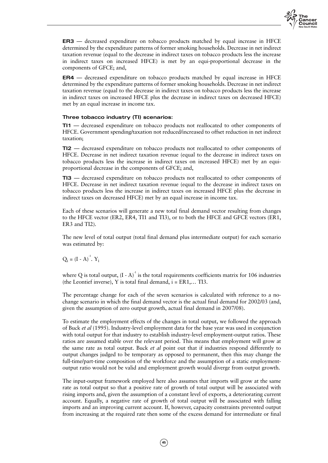

**ER3** — decreased expenditure on tobacco products matched by equal increase in HFCE determined by the expenditure patterns of former smoking households. Decrease in net indirect taxation revenue (equal to the decrease in indirect taxes on tobacco products less the increase in indirect taxes on increased HFCE) is met by an equi-proportional decrease in the components of GFCE; and,

**ER4** — decreased expenditure on tobacco products matched by equal increase in HFCE determined by the expenditure patterns of former smoking households. Decrease in net indirect taxation revenue (equal to the decrease in indirect taxes on tobacco products less the increase in indirect taxes on increased HFCE plus the decrease in indirect taxes on decreased HFCE) met by an equal increase in income tax.

### **Three tobacco industry (TI) scenarios:**

**TI1** — decreased expenditure on tobacco products not reallocated to other components of HFCE. Government spending/taxation not reduced/increased to offset reduction in net indirect taxation;

**TI2** — decreased expenditure on tobacco products not reallocated to other components of HFCE. Decrease in net indirect taxation revenue (equal to the decrease in indirect taxes on tobacco products less the increase in indirect taxes on increased HFCE) met by an equiproportional decrease in the components of GFCE; and,

**TI3** — decreased expenditure on tobacco products not reallocated to other components of HFCE. Decrease in net indirect taxation revenue (equal to the decrease in indirect taxes on tobacco products less the increase in indirect taxes on increased HFCE plus the decrease in indirect taxes on decreased HFCE) met by an equal increase in income tax.

Each of these scenarios will generate a new total final demand vector resulting from changes to the HFCE vector (ER2, ER4, TI1 and TI3), or to both the HFCE and GFCE vectors (ER1, ER3 and TI2).

The new level of total output (total final demand plus intermediate output) for each scenario was estimated by:

 $Q_i = (I - A)^{-1}$ . Y<sub>i</sub>

where Q is total output,  $(I - A)^{-1}$  is the total requirements coefficients matrix for 106 industries (the Leontief inverse), Y is total final demand,  $i = ER1, \ldots TI3$ .

The percentage change for each of the seven scenarios is calculated with reference to a nochange scenario in which the final demand vector is the actual final demand for 2002/03 (and, given the assumption of zero output growth, actual final demand in 2007/08).

To estimate the employment effects of the changes in total output, we followed the approach of Buck *et al* (1995). Industry-level employment data for the base year was used in conjunction with total output for that industry to establish industry-level employment-output ratios. These ratios are assumed stable over the relevant period. This means that employment will grow at the same rate as total output. Buck *et al* point out that if industries respond differently to output changes judged to be temporary as opposed to permanent, then this may change the full-time/part-time composition of the workforce and the assumption of a static employmentoutput ratio would not be valid and employment growth would diverge from output growth.

The input-output framework employed here also assumes that imports will grow at the same rate as total output so that a positive rate of growth of total output will be associated with rising imports and, given the assumption of a constant level of exports, a deteriorating current account. Equally, a negative rate of growth of total output will be associated with falling imports and an improving current account. If, however, capacity constraints prevented output from increasing at the required rate then some of the excess demand for intermediate or final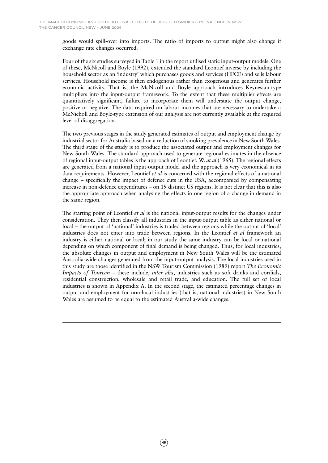goods would spill-over into imports. The ratio of imports to output might also change if exchange rate changes occurred.

Four of the six studies surveyed in Table 1 in the report utilised static input-output models. One of these, McNicoll and Boyle (1992), extended the standard Leontief inverse by including the household sector as an 'industry' which purchases goods and services (HFCE) and sells labour services. Household income is then endogenous rather than exogenous and generates further economic activity. That is, the McNicoll and Boyle approach introduces Keynesian-type multipliers into the input-output framework. To the extent that these multiplier effects are quantitatively significant, failure to incorporate them will understate the output change, positive or negative. The data required on labour incomes that are necessary to undertake a McNicholl and Boyle-type extension of our analysis are not currently available at the required level of disaggregation.

The two previous stages in the study generated estimates of output and employment change by industrial sector for Australia based on a reduction of smoking prevalence in New South Wales. The third stage of the study is to produce the associated output and employment changes for New South Wales. The standard approach used to generate regional estimates in the absence of regional input-output tables is the approach of Leontief, W. *at al* (1965). The regional effects are generated from a national input-output model and the approach is very economical in its data requirements. However, Leontief *et al* is concerned with the regional effects of a national change – specifically the impact of defence cuts in the USA, accompanied by compensating increase in non-defence expenditures – on 19 distinct US regions. It is not clear that this is also the appropriate approach when analysing the effects in one region of a change in demand in the same region.

The starting point of Leontief *et al* is the national input-output results for the changes under consideration. They then classify all industries in the input-output table as either national or local – the output of 'national' industries is traded between regions while the output of 'local' industries does not enter into trade between regions. In the Leontief *et al* framework an industry is either national or local; in our study the same industry can be local or national depending on which component of final demand is being changed. Thus, for local industries, the absolute changes in output and employment in New South Wales will be the estimated Australia-wide changes generated from the input-output analysis. The local industries used in this study are those identified in the NSW Tourism Commission (1989) report *The Economic Impacts of Tourism* – these include, *inter alia*, industries such as soft drinks and cordials, residential construction, wholesale and retail trade, and education. The full set of local industries is shown in Appendix A. In the second stage, the estimated percentage changes in output and employment for non-local industries (that is, national industries) in New South Wales are assumed to be equal to the estimated Australia-wide changes.